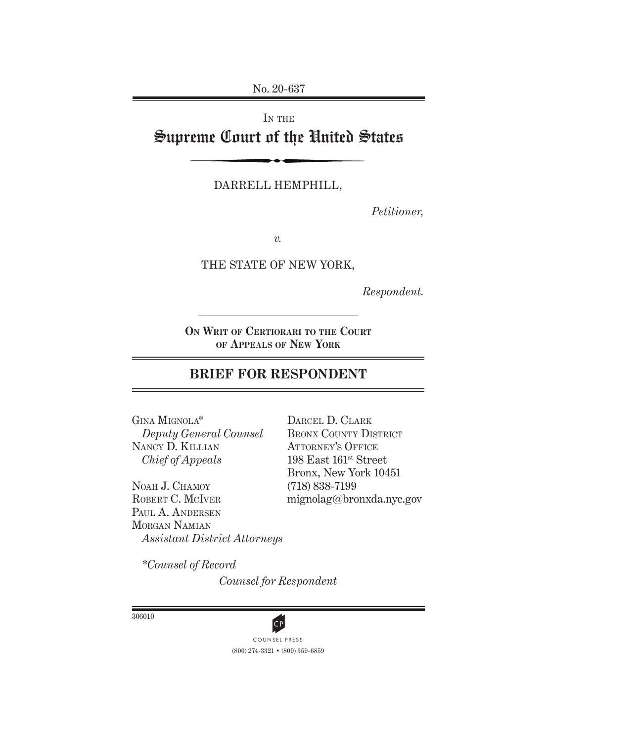No. 20-637

# IN THE Supreme Court of the United States

DARRELL HEMPHILL,

*Petitioner,*

*v.*

THE STATE OF NEW YORK,

*Respondent.*

**On Writ of Certiorari to the Court of Appeals of New York**

## **BRIEF FOR RESPONDENT**

Gina Mignola\* *Deputy General Counsel* Nancy D. Killian *Chief of Appeals*

NOAH J. CHAMOY ROBERT C. MCIVER PAUL A. ANDERSEN Morgan Namian *Assistant District Attorneys*

DARCEL D. CLARK BRONX COUNTY DISTRICT ATTORNEY'S OFFICE 198 East 161st Street Bronx, New York 10451 (718) 838-7199 mignolag@bronxda.nyc.gov

*\*Counsel of Record*

*Counsel for Respondent*

306010



(800) 274-3321 • (800) 359-6859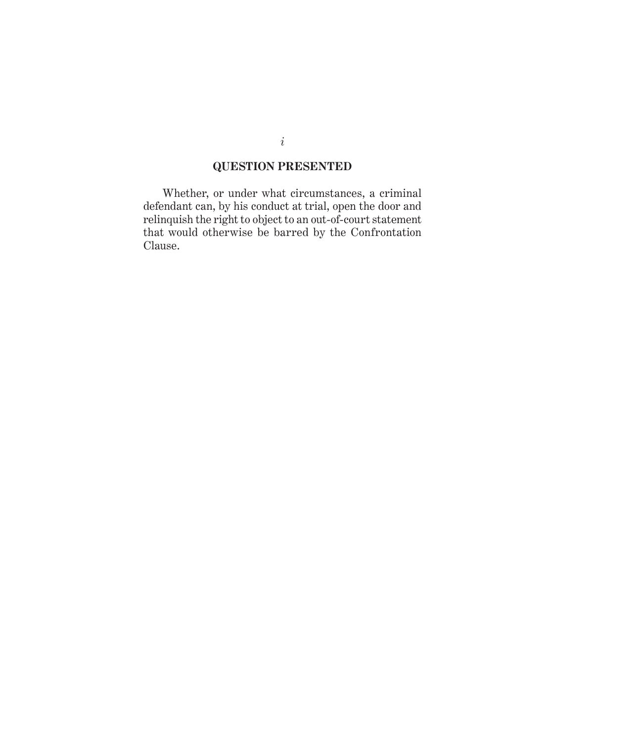## **QUESTION PRESENTED**

Whether, or under what circumstances, a criminal defendant can, by his conduct at trial, open the door and relinquish the right to object to an out-of-court statement that would otherwise be barred by the Confrontation Clause.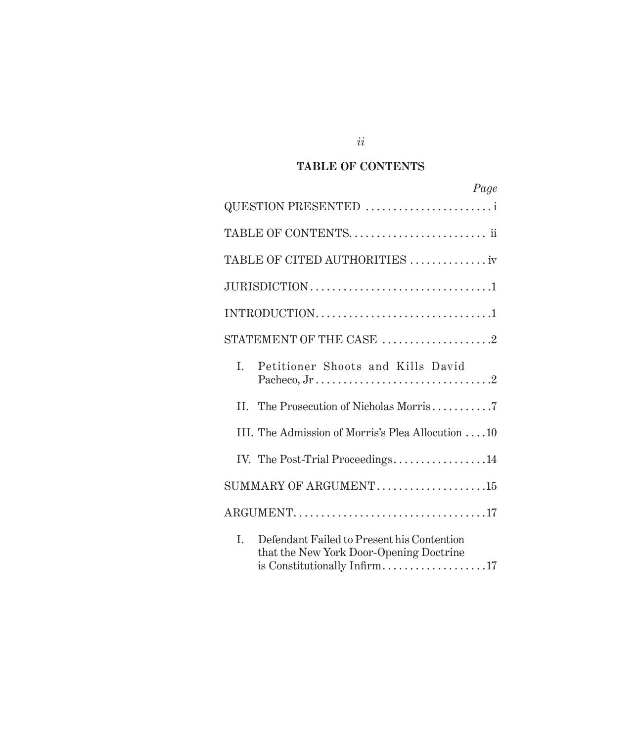## **TABLE OF CONTENTS**

|    | Page                                                                                  |
|----|---------------------------------------------------------------------------------------|
|    | QUESTION PRESENTED                                                                    |
|    |                                                                                       |
|    | TABLE OF CITED AUTHORITIES  iv                                                        |
|    |                                                                                       |
|    |                                                                                       |
|    | STATEMENT OF THE CASE $\,\ldots\ldots\ldots\ldots\ldots\ldots\,2$                     |
| L. | Petitioner Shoots and Kills David                                                     |
| H. | The Prosecution of Nicholas Morris7                                                   |
|    | III. The Admission of Morris's Plea Allocution 10                                     |
|    | IV. The Post-Trial Proceedings14                                                      |
|    | SUMMARY OF ARGUMENT15                                                                 |
|    |                                                                                       |
| L. | Defendant Failed to Present his Contention<br>that the New York Door-Opening Doctrine |

*ii*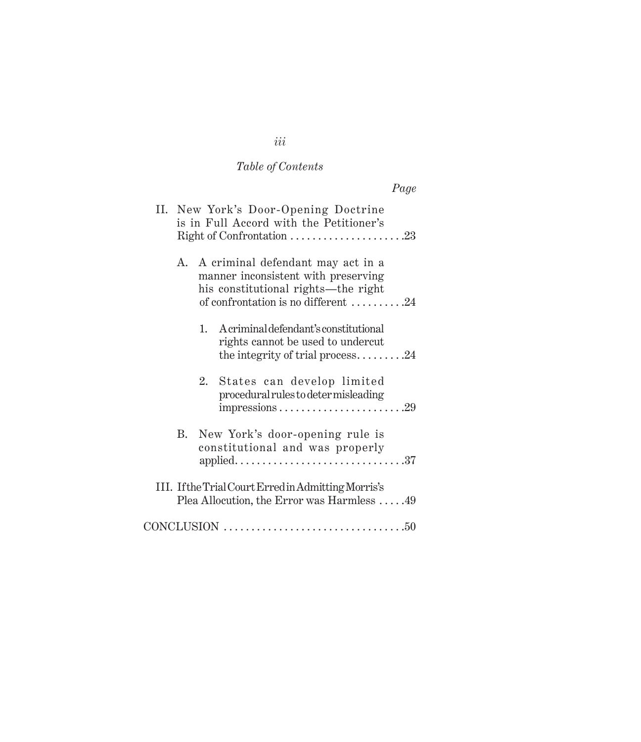# *Table of Contents*

|--|

|    | II. New York's Door-Opening Doctrine<br>is in Full Accord with the Petitioner's<br>Right of Confrontation 23                                           |
|----|--------------------------------------------------------------------------------------------------------------------------------------------------------|
| A. | A criminal defendant may act in a<br>manner inconsistent with preserving<br>his constitutional rights—the right<br>of confrontation is no different 24 |
|    | 1. Acriminal defendant's constitutional<br>rights cannot be used to undercut<br>the integrity of trial process24                                       |
|    | 2. States can develop limited<br>procedural rules to deter misleading                                                                                  |
|    | B. New York's door-opening rule is<br>constitutional and was properly                                                                                  |
|    | III. If the Trial Court Erred in Admitting Morris's<br>Plea Allocution, the Error was Harmless 49                                                      |
|    | $CONCLUSION \dots 50$                                                                                                                                  |

*iii*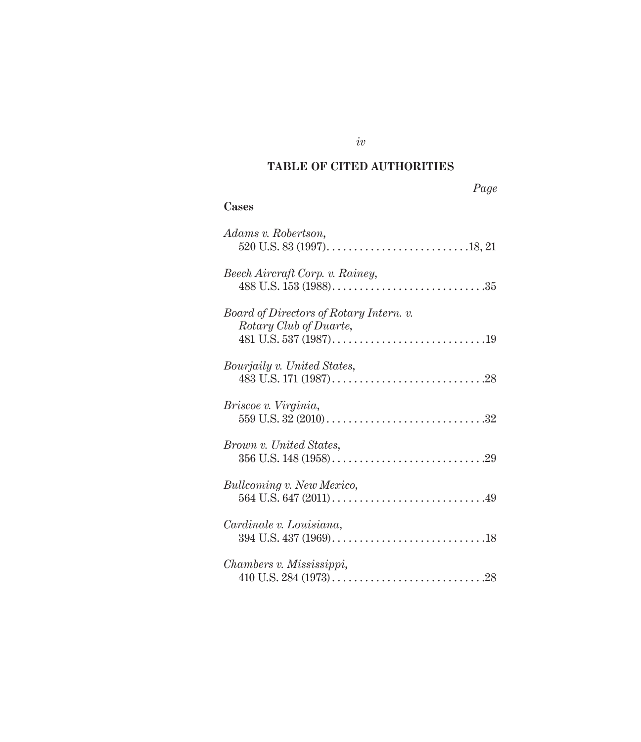## **TABLE OF CITED AUTHORITIES**

### **Cases**

| Adams v. Robertson,                                               |
|-------------------------------------------------------------------|
| Beech Aircraft Corp. v. Rainey,                                   |
| Board of Directors of Rotary Intern. v.<br>Rotary Club of Duarte, |
| <i>Bourjaily v. United States,</i>                                |
| Briscoe v. Virginia,                                              |
| <i>Brown v. United States,</i>                                    |
| <b>Bullcoming v. New Mexico,</b>                                  |
| Cardinale v. Louisiana,                                           |
| Chambers v. Mississippi,                                          |

*iv*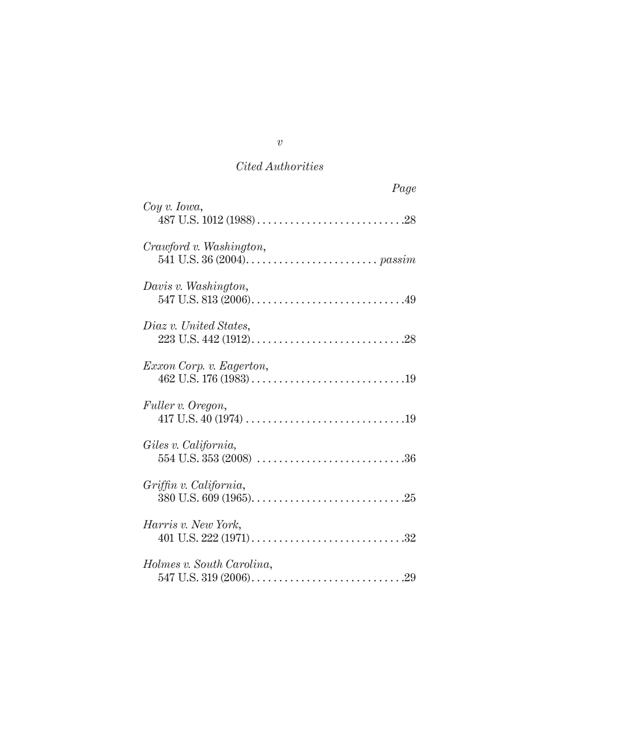|                           | Page |
|---------------------------|------|
| $Coy \ v. \ Iowa,$        |      |
| Crawford v. Washington,   |      |
| Davis v. Washington,      |      |
| Diaz v. United States,    |      |
| Exxon Corp. v. Eagerton,  |      |
| Fuller v. Oregon,         |      |
| Giles v. California,      |      |
| Griffin v. California,    |      |
| Harris v. New York,       |      |
| Holmes v. South Carolina, |      |

*v*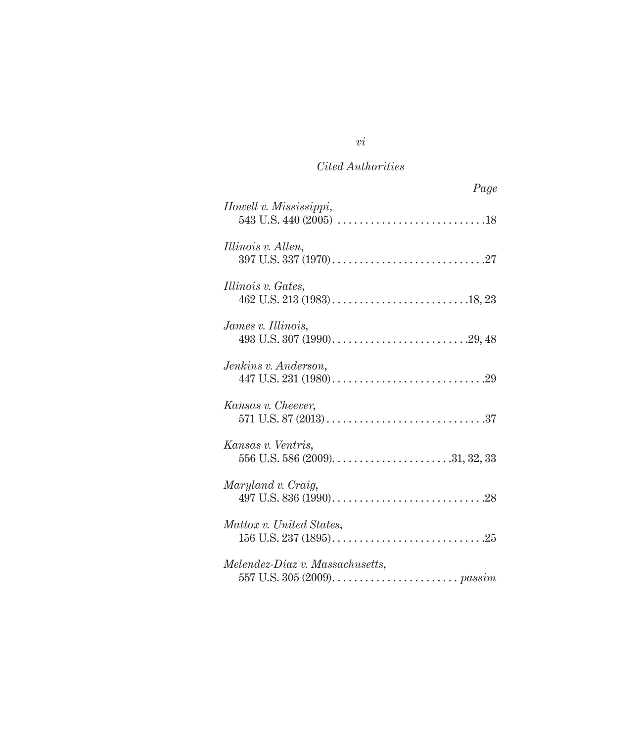| Page                            |
|---------------------------------|
| Howell v. Mississippi,          |
| Illinois v. Allen,              |
| Illinois v. Gates,              |
| James v. Illinois,              |
| Jenkins v. Anderson,            |
| Kansas v. Cheever,              |
| Kansas v. Ventris,              |
| Maryland v. Craig,              |
| Mattox v. United States,        |
| Melendez-Diaz v. Massachusetts, |

## *vi*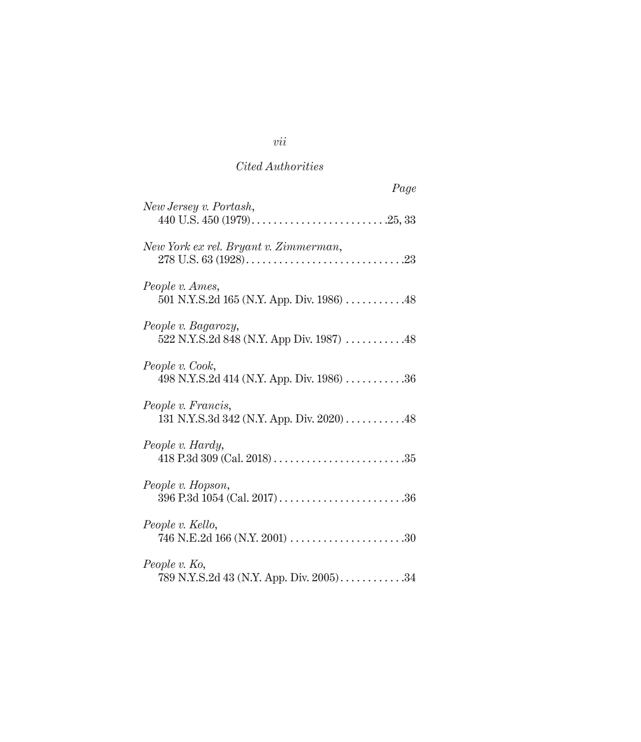| Page                                                            |  |
|-----------------------------------------------------------------|--|
| New Jersey v. Portash,                                          |  |
| New York ex rel. Bryant v. Zimmerman,                           |  |
| People v. Ames,<br>501 N.Y.S.2d 165 (N.Y. App. Div. 1986) 48    |  |
| People v. Bagarozy,<br>522 N.Y.S.2d 848 (N.Y. App Div. 1987) 48 |  |
| People v. Cook,<br>498 N.Y.S.2d 414 (N.Y. App. Div. 1986) 36    |  |
| People v. Francis,<br>131 N.Y.S.3d 342 (N.Y. App. Div. 2020) 48 |  |
| People v. Hardy,                                                |  |
| People v. Hopson,                                               |  |
| People v. Kello,                                                |  |
| People v. Ko,<br>789 N.Y.S.2d 43 (N.Y. App. Div. 2005)34        |  |

*vii*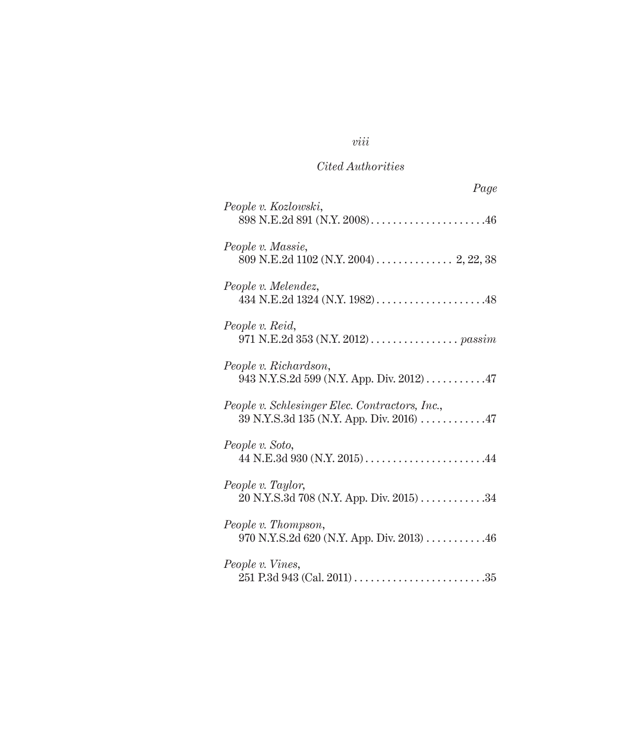## *viii*

## *Cited Authorities*

| Page                                                                                        |
|---------------------------------------------------------------------------------------------|
| People v. Kozlowski,<br>898 N.E.2d 891 (N.Y. 2008)46                                        |
| People v. Massie,<br>809 N.E.2d 1102 (N.Y. 2004) 2, 22, 38                                  |
| People v. Melendez,                                                                         |
| People v. Reid,<br>971 N.E.2d 353 (N.Y. 2012) passim                                        |
| People v. Richardson,<br>943 N.Y.S.2d 599 (N.Y. App. Div. 2012) 47                          |
| People v. Schlesinger Elec. Contractors, Inc.,<br>39 N.Y.S.3d 135 (N.Y. App. Div. 2016)  47 |
| People v. Soto,                                                                             |
| People v. Taylor,<br>20 N.Y.S.3d 708 (N.Y. App. Div. 2015) 34                               |
| People v. Thompson,<br>970 N.Y.S.2d 620 (N.Y. App. Div. 2013) $\dots$ 46                    |
| People v. Vines,                                                                            |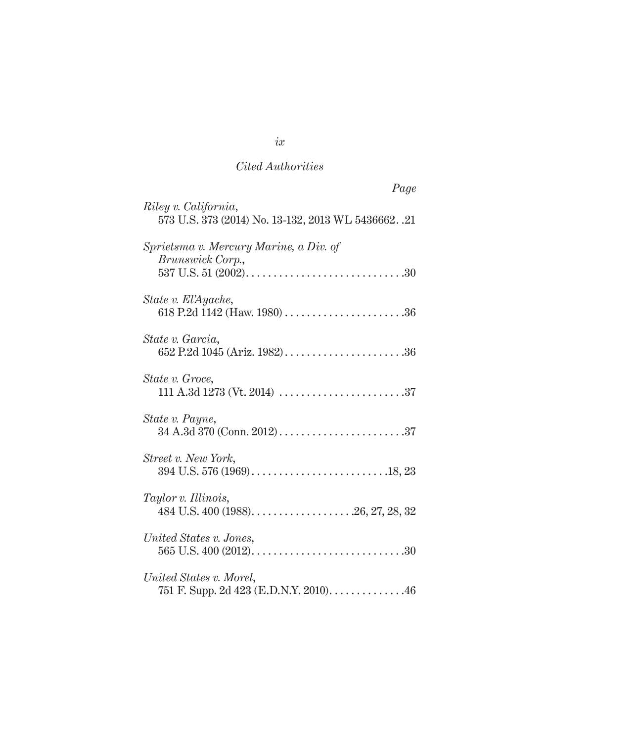| Page                                                                         |
|------------------------------------------------------------------------------|
| Riley v. California,<br>573 U.S. 373 (2014) No. 13-132, 2013 WL 5436662. .21 |
| Sprietsma v. Mercury Marine, a Div. of<br>Brunswick Corp.,                   |
| State v. El'Ayache,                                                          |
| State v. Garcia,<br>652 P.2d 1045 (Ariz. 1982)36                             |
| State v. Groce,                                                              |
| State v. Payne,                                                              |
| Street v. New York,                                                          |
| Taylor v. Illinois,                                                          |
| United States v. Jones,                                                      |
| United States v. Morel,<br>751 F. Supp. 2d 423 (E.D.N.Y. 2010). 46           |

*ix*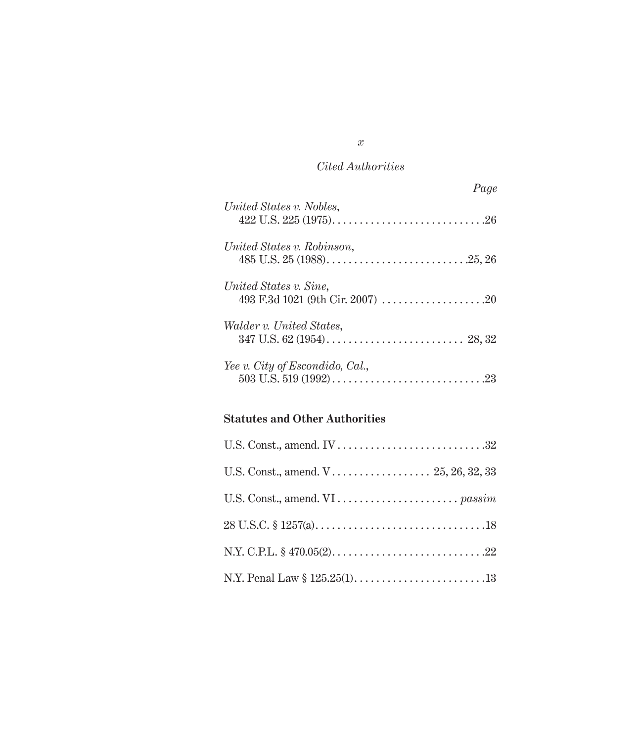|                                 | Page |
|---------------------------------|------|
| United States v. Nobles,        |      |
| United States v. Robinson,      |      |
| United States v. Sine,          |      |
| Walder v. United States,        |      |
| Yee v. City of Escondido, Cal., |      |

### **Statutes and Other Authorities**

*x*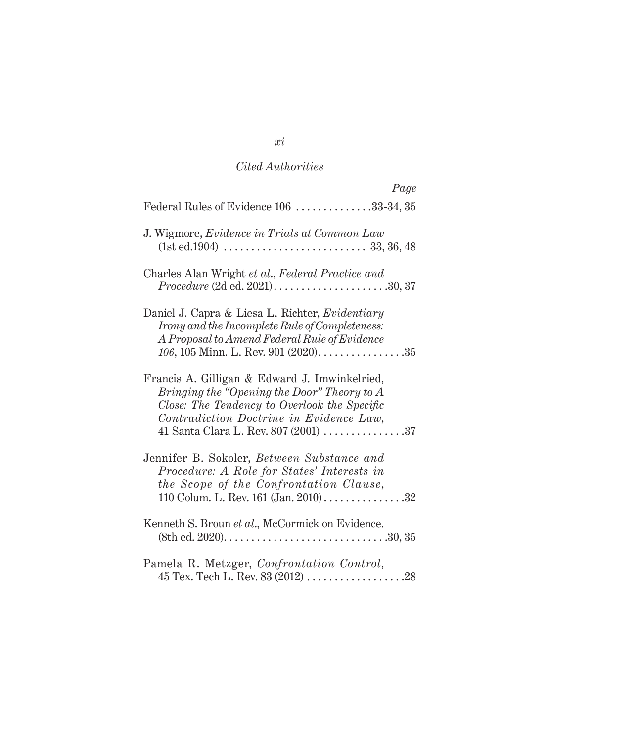| Page                                                                                                                                                                                                                              |
|-----------------------------------------------------------------------------------------------------------------------------------------------------------------------------------------------------------------------------------|
| Federal Rules of Evidence 106 33-34, 35                                                                                                                                                                                           |
| J. Wigmore, Evidence in Trials at Common Law                                                                                                                                                                                      |
| Charles Alan Wright et al., Federal Practice and                                                                                                                                                                                  |
| Daniel J. Capra & Liesa L. Richter, Evidentiary<br>Irony and the Incomplete Rule of Completeness:<br>A Proposal to Amend Federal Rule of Evidence<br>106, 105 Minn. L. Rev. 901 $(2020)$ 35                                       |
| Francis A. Gilligan & Edward J. Imwinkelried,<br>Bringing the "Opening the Door" Theory to $A$<br>Close: The Tendency to Overlook the Specific<br>Contradiction Doctrine in Evidence Law,<br>41 Santa Clara L. Rev. 807 (2001) 37 |
| Jennifer B. Sokoler, Between Substance and<br>Procedure: A Role for States' Interests in<br>the Scope of the Confrontation Clause,<br>110 Colum. L. Rev. 161 (Jan. 2010)32                                                        |
| Kenneth S. Broun et al., McCormick on Evidence.                                                                                                                                                                                   |
| Pamela R. Metzger, Confrontation Control,                                                                                                                                                                                         |

*xi*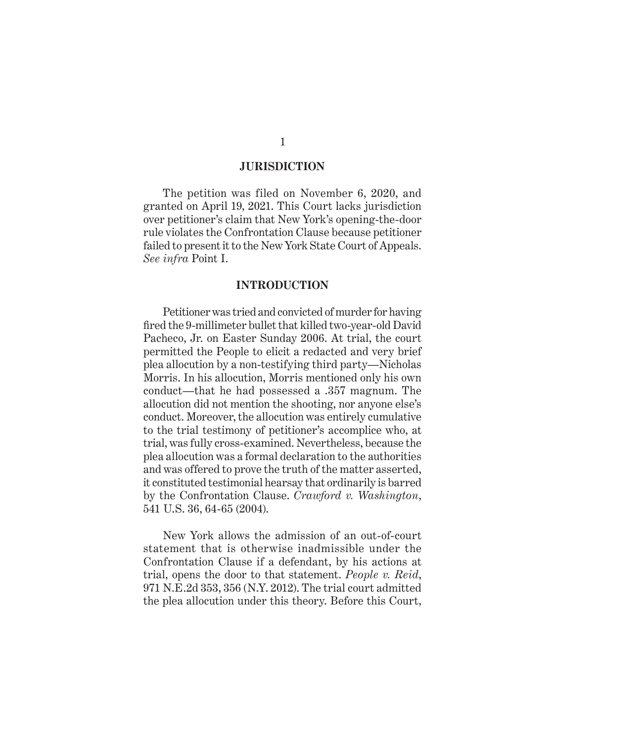#### **JURISDICTION**

The petition was filed on November 6, 2020, and granted on April 19, 2021. This Court lacks jurisdiction over petitioner's claim that New York's opening-the-door rule violates the Confrontation Clause because petitioner failed to present it to the New York State Court of Appeals. *See infra* Point I.

#### **INTRODUCTION**

Petitioner was tried and convicted of murder for having fired the 9-millimeter bullet that killed two-year-old David Pacheco, Jr. on Easter Sunday 2006. At trial, the court permitted the People to elicit a redacted and very brief plea allocution by a non-testifying third party—Nicholas Morris. In his allocution, Morris mentioned only his own conduct—that he had possessed a .357 magnum. The allocution did not mention the shooting, nor anyone else's conduct. Moreover, the allocution was entirely cumulative to the trial testimony of petitioner's accomplice who, at trial, was fully cross-examined. Nevertheless, because the plea allocution was a formal declaration to the authorities and was offered to prove the truth of the matter asserted, it constituted testimonial hearsay that ordinarily is barred by the Confrontation Clause. *Crawford v. Washington*, 541 U.S. 36, 64-65 (2004).

New York allows the admission of an out-of-court statement that is otherwise inadmissible under the Confrontation Clause if a defendant, by his actions at trial, opens the door to that statement. *People v. Reid*, 971 N.E.2d 353, 356 (N.Y. 2012). The trial court admitted the plea allocution under this theory. Before this Court,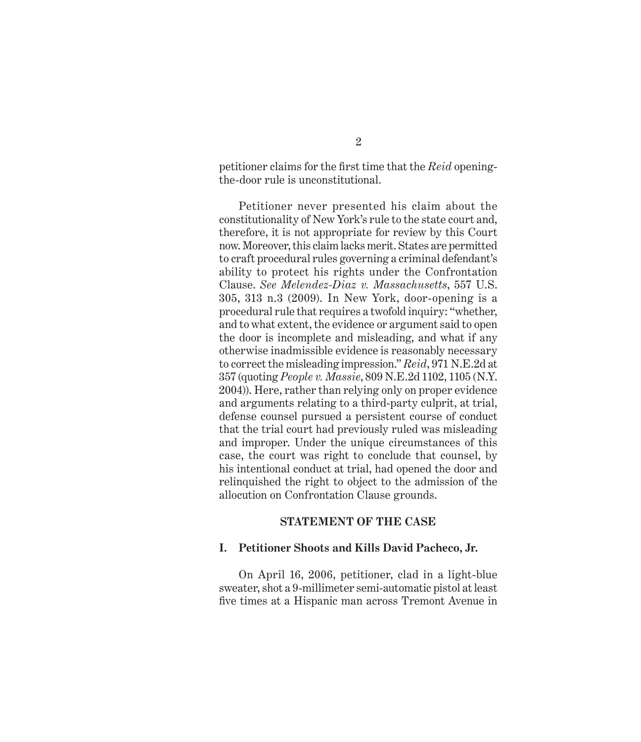petitioner claims for the first time that the *Reid* openingthe-door rule is unconstitutional.

Petitioner never presented his claim about the constitutionality of New York's rule to the state court and, therefore, it is not appropriate for review by this Court now. Moreover, this claim lacks merit. States are permitted to craft procedural rules governing a criminal defendant's ability to protect his rights under the Confrontation Clause. *See Melendez-Diaz v. Massachusetts*, 557 U.S. 305, 313 n.3 (2009). In New York, door-opening is a procedural rule that requires a twofold inquiry: "whether, and to what extent, the evidence or argument said to open the door is incomplete and misleading, and what if any otherwise inadmissible evidence is reasonably necessary to correct the misleading impression." *Reid*, 971 N.E.2d at 357 (quoting *People v. Massie*, 809 N.E.2d 1102, 1105 (N.Y. 2004)). Here, rather than relying only on proper evidence and arguments relating to a third-party culprit, at trial, defense counsel pursued a persistent course of conduct that the trial court had previously ruled was misleading and improper. Under the unique circumstances of this case, the court was right to conclude that counsel, by his intentional conduct at trial, had opened the door and relinquished the right to object to the admission of the allocution on Confrontation Clause grounds.

#### **STATEMENT OF THE CASE**

#### **I. Petitioner Shoots and Kills David Pacheco, Jr.**

On April 16, 2006, petitioner, clad in a light-blue sweater, shot a 9-millimeter semi-automatic pistol at least five times at a Hispanic man across Tremont Avenue in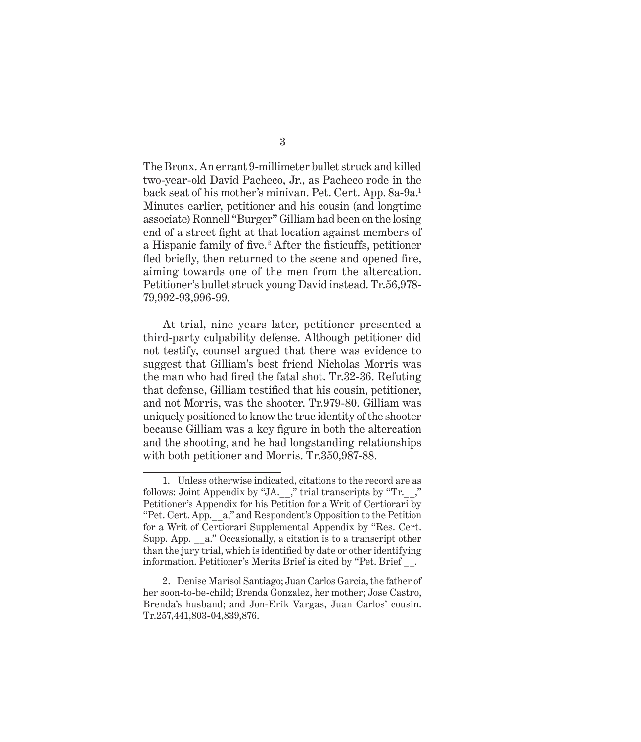The Bronx. An errant 9-millimeter bullet struck and killed two-year-old David Pacheco, Jr., as Pacheco rode in the back seat of his mother's minivan. Pet. Cert. App. 8a-9a.<sup>1</sup> Minutes earlier, petitioner and his cousin (and longtime associate) Ronnell "Burger" Gilliam had been on the losing end of a street fight at that location against members of a Hispanic family of five.<sup>2</sup> After the fisticuffs, petitioner fled briefly, then returned to the scene and opened fire, aiming towards one of the men from the altercation. Petitioner's bullet struck young David instead. Tr.56,978- 79,992-93,996-99.

At trial, nine years later, petitioner presented a third-party culpability defense. Although petitioner did not testify, counsel argued that there was evidence to suggest that Gilliam's best friend Nicholas Morris was the man who had fired the fatal shot. Tr.32-36. Refuting that defense, Gilliam testified that his cousin, petitioner, and not Morris, was the shooter. Tr.979-80. Gilliam was uniquely positioned to know the true identity of the shooter because Gilliam was a key figure in both the altercation and the shooting, and he had longstanding relationships with both petitioner and Morris. Tr.350,987-88.

<sup>1.</sup> Unless otherwise indicated, citations to the record are as follows: Joint Appendix by "JA.\_\_," trial transcripts by "Tr.\_\_," Petitioner's Appendix for his Petition for a Writ of Certiorari by "Pet. Cert. App. a," and Respondent's Opposition to the Petition for a Writ of Certiorari Supplemental Appendix by "Res. Cert. Supp. App. a." Occasionally, a citation is to a transcript other than the jury trial, which is identified by date or other identifying information. Petitioner's Merits Brief is cited by "Pet. Brief.

<sup>2.</sup> Denise Marisol Santiago; Juan Carlos Garcia, the father of her soon-to-be-child; Brenda Gonzalez, her mother; Jose Castro, Brenda's husband; and Jon-Erik Vargas, Juan Carlos' cousin. Tr.257,441,803-04,839,876.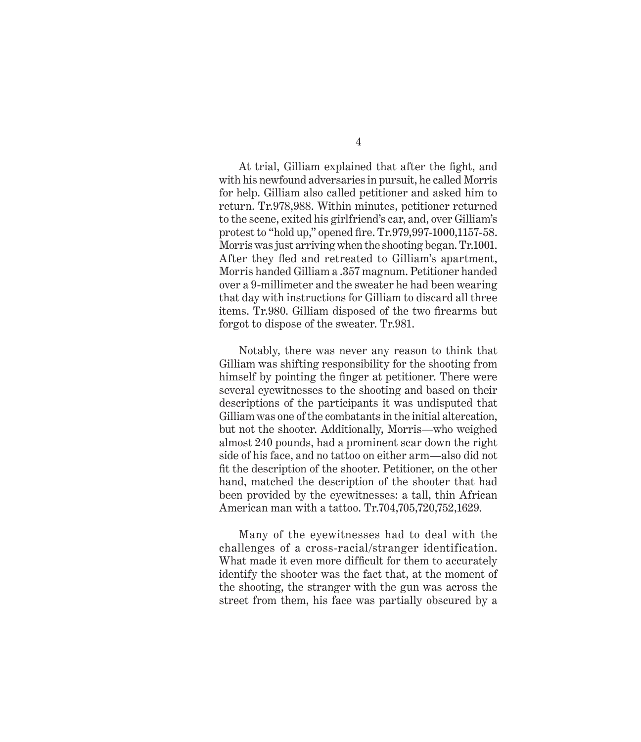At trial, Gilliam explained that after the fight, and with his newfound adversaries in pursuit, he called Morris for help. Gilliam also called petitioner and asked him to return. Tr.978,988. Within minutes, petitioner returned to the scene, exited his girlfriend's car, and, over Gilliam's protest to "hold up," opened fire. Tr.979,997-1000,1157-58. Morris was just arriving when the shooting began. Tr.1001. After they fled and retreated to Gilliam's apartment, Morris handed Gilliam a .357 magnum. Petitioner handed over a 9-millimeter and the sweater he had been wearing that day with instructions for Gilliam to discard all three items. Tr.980. Gilliam disposed of the two firearms but forgot to dispose of the sweater. Tr.981.

Notably, there was never any reason to think that Gilliam was shifting responsibility for the shooting from himself by pointing the finger at petitioner. There were several eyewitnesses to the shooting and based on their descriptions of the participants it was undisputed that Gilliam was one of the combatants in the initial altercation, but not the shooter. Additionally, Morris—who weighed almost 240 pounds, had a prominent scar down the right side of his face, and no tattoo on either arm—also did not fit the description of the shooter. Petitioner, on the other hand, matched the description of the shooter that had been provided by the eyewitnesses: a tall, thin African American man with a tattoo. Tr.704,705,720,752,1629.

Many of the eyewitnesses had to deal with the challenges of a cross-racial/stranger identification. What made it even more difficult for them to accurately identify the shooter was the fact that, at the moment of the shooting, the stranger with the gun was across the street from them, his face was partially obscured by a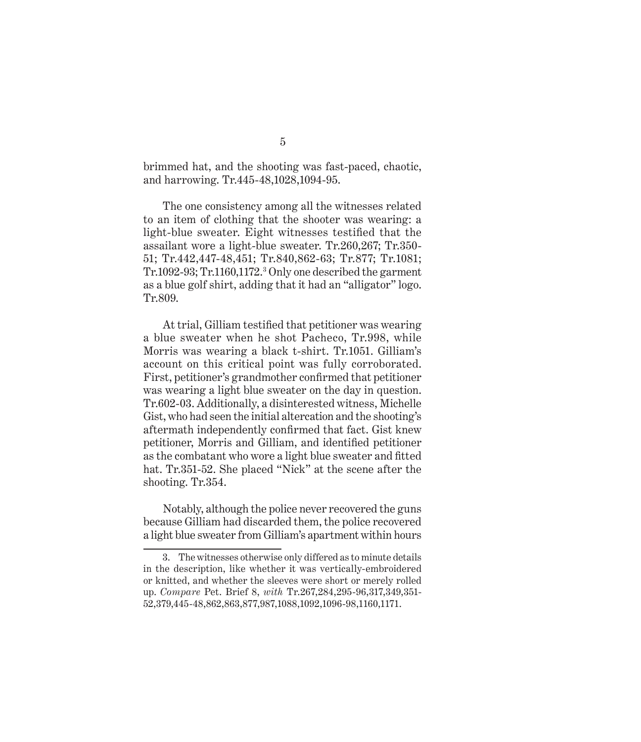brimmed hat, and the shooting was fast-paced, chaotic, and harrowing. Tr.445-48,1028,1094-95.

The one consistency among all the witnesses related to an item of clothing that the shooter was wearing: a light-blue sweater. Eight witnesses testified that the assailant wore a light-blue sweater. Tr.260,267; Tr.350- 51; Tr.442,447-48,451; Tr.840,862-63; Tr.877; Tr.1081; Tr.1092-93; Tr.1160,1172.<sup>3</sup> Only one described the garment as a blue golf shirt, adding that it had an "alligator" logo. Tr.809.

At trial, Gilliam testified that petitioner was wearing a blue sweater when he shot Pacheco, Tr.998, while Morris was wearing a black t-shirt. Tr.1051. Gilliam's account on this critical point was fully corroborated. First, petitioner's grandmother confirmed that petitioner was wearing a light blue sweater on the day in question. Tr.602-03. Additionally, a disinterested witness, Michelle Gist, who had seen the initial altercation and the shooting's aftermath independently confirmed that fact. Gist knew petitioner, Morris and Gilliam, and identified petitioner as the combatant who wore a light blue sweater and fitted hat. Tr.351-52. She placed "Nick" at the scene after the shooting. Tr.354.

Notably, although the police never recovered the guns because Gilliam had discarded them, the police recovered a light blue sweater from Gilliam's apartment within hours

<sup>3.</sup> The witnesses otherwise only differed as to minute details in the description, like whether it was vertically-embroidered or knitted, and whether the sleeves were short or merely rolled up. *Compare* Pet. Brief 8, *with* Tr.267,284,295-96,317,349,351- 52,379,445-48,862,863,877,987,1088,1092,1096-98,1160,1171.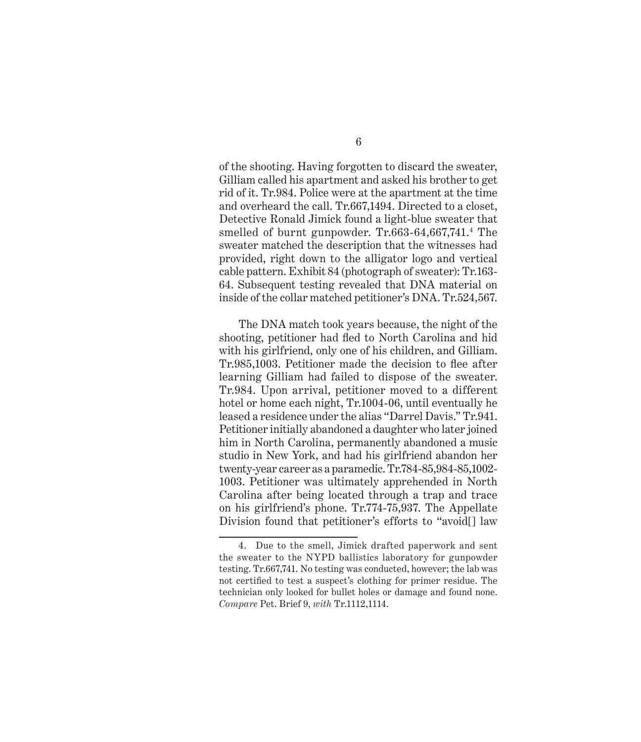of the shooting. Having forgotten to discard the sweater, Gilliam called his apartment and asked his brother to get rid of it. Tr.984. Police were at the apartment at the time and overheard the call. Tr.667,1494. Directed to a closet, Detective Ronald Jimick found a light-blue sweater that smelled of burnt gunpowder. Tr.663-64,667,741.<sup>4</sup> The sweater matched the description that the witnesses had provided, right down to the alligator logo and vertical cable pattern. Exhibit 84 (photograph of sweater): Tr.163- 64. Subsequent testing revealed that DNA material on inside of the collar matched petitioner's DNA. Tr.524,567.

The DNA match took years because, the night of the shooting, petitioner had fled to North Carolina and hid with his girlfriend, only one of his children, and Gilliam. Tr.985,1003. Petitioner made the decision to flee after learning Gilliam had failed to dispose of the sweater. Tr.984. Upon arrival, petitioner moved to a different hotel or home each night, Tr.1004-06, until eventually he leased a residence under the alias "Darrel Davis." Tr.941. Petitioner initially abandoned a daughter who later joined him in North Carolina, permanently abandoned a music studio in New York, and had his girlfriend abandon her twenty-year career as a paramedic. Tr.784-85,984-85,1002- 1003. Petitioner was ultimately apprehended in North Carolina after being located through a trap and trace on his girlfriend's phone. Tr.774-75,937. The Appellate Division found that petitioner's efforts to "avoid[] law

<sup>4.</sup> Due to the smell, Jimick drafted paperwork and sent the sweater to the NYPD ballistics laboratory for gunpowder testing. Tr.667,741. No testing was conducted, however; the lab was not certified to test a suspect's clothing for primer residue. The technician only looked for bullet holes or damage and found none. *Compare* Pet. Brief 9, *with* Tr.1112,1114.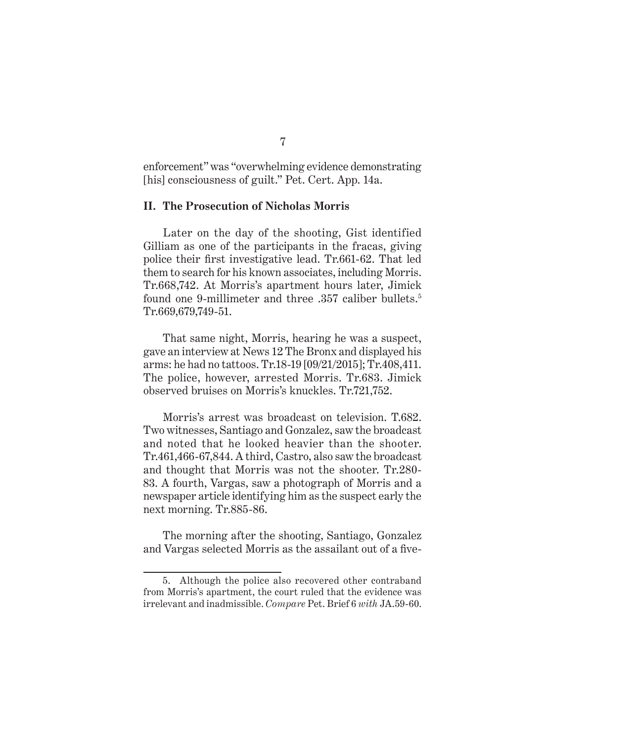enforcement" was "overwhelming evidence demonstrating [his] consciousness of guilt." Pet. Cert. App. 14a.

#### **II. The Prosecution of Nicholas Morris**

Later on the day of the shooting, Gist identified Gilliam as one of the participants in the fracas, giving police their first investigative lead. Tr.661-62. That led them to search for his known associates, including Morris. Tr.668,742. At Morris's apartment hours later, Jimick found one 9-millimeter and three .357 caliber bullets.5 Tr.669,679,749-51.

That same night, Morris, hearing he was a suspect, gave an interview at News 12 The Bronx and displayed his arms: he had no tattoos. Tr.18-19 [09/21/2015]; Tr.408,411. The police, however, arrested Morris. Tr.683. Jimick observed bruises on Morris's knuckles. Tr.721,752.

Morris's arrest was broadcast on television. T.682. Two witnesses, Santiago and Gonzalez, saw the broadcast and noted that he looked heavier than the shooter. Tr.461,466-67,844. A third, Castro, also saw the broadcast and thought that Morris was not the shooter. Tr.280- 83. A fourth, Vargas, saw a photograph of Morris and a newspaper article identifying him as the suspect early the next morning. Tr.885-86.

The morning after the shooting, Santiago, Gonzalez and Vargas selected Morris as the assailant out of a five-

<sup>5.</sup> Although the police also recovered other contraband from Morris's apartment, the court ruled that the evidence was irrelevant and inadmissible. *Compare* Pet. Brief 6 *with* JA.59-60.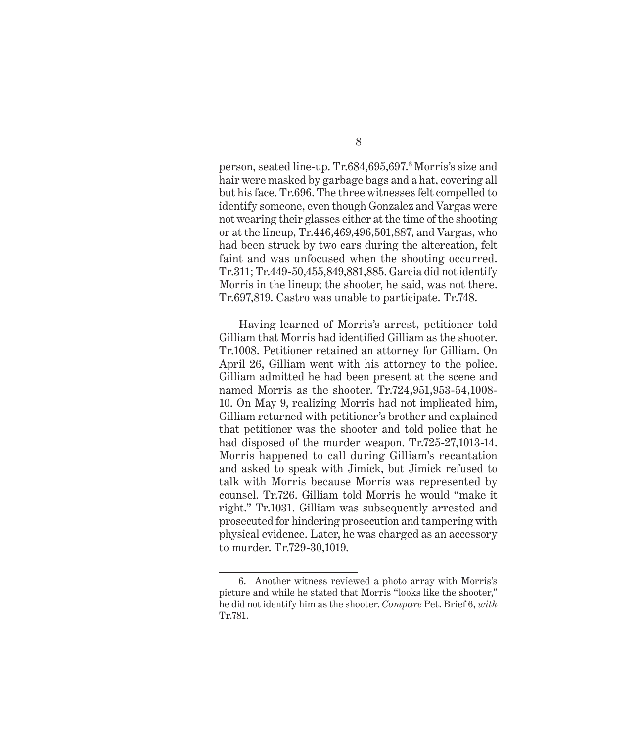person, seated line-up. Tr.684,695,697.<sup>6</sup> Morris's size and hair were masked by garbage bags and a hat, covering all but his face. Tr.696. The three witnesses felt compelled to identify someone, even though Gonzalez and Vargas were not wearing their glasses either at the time of the shooting or at the lineup, Tr.446,469,496,501,887, and Vargas, who had been struck by two cars during the altercation, felt faint and was unfocused when the shooting occurred. Tr.311; Tr.449-50,455,849,881,885. Garcia did not identify Morris in the lineup; the shooter, he said, was not there. Tr.697,819. Castro was unable to participate. Tr.748.

Having learned of Morris's arrest, petitioner told Gilliam that Morris had identified Gilliam as the shooter. Tr.1008. Petitioner retained an attorney for Gilliam. On April 26, Gilliam went with his attorney to the police. Gilliam admitted he had been present at the scene and named Morris as the shooter. Tr.724,951,953-54,1008- 10. On May 9, realizing Morris had not implicated him, Gilliam returned with petitioner's brother and explained that petitioner was the shooter and told police that he had disposed of the murder weapon. Tr.725-27,1013-14. Morris happened to call during Gilliam's recantation and asked to speak with Jimick, but Jimick refused to talk with Morris because Morris was represented by counsel. Tr.726. Gilliam told Morris he would "make it right." Tr.1031. Gilliam was subsequently arrested and prosecuted for hindering prosecution and tampering with physical evidence. Later, he was charged as an accessory to murder. Tr.729-30,1019.

<sup>6.</sup> Another witness reviewed a photo array with Morris's picture and while he stated that Morris "looks like the shooter," he did not identify him as the shooter. *Compare* Pet. Brief 6, *with* Tr.781.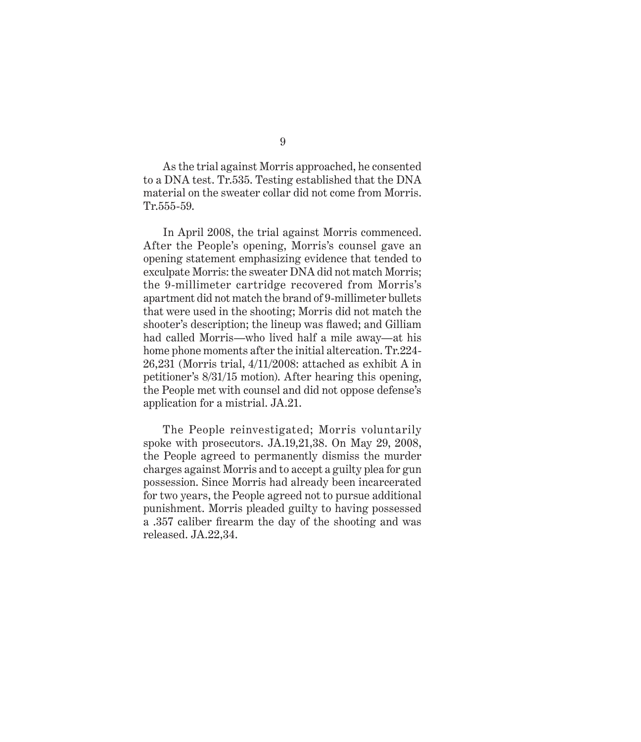As the trial against Morris approached, he consented to a DNA test. Tr.535. Testing established that the DNA material on the sweater collar did not come from Morris. Tr.555-59.

In April 2008, the trial against Morris commenced. After the People's opening, Morris's counsel gave an opening statement emphasizing evidence that tended to exculpate Morris: the sweater DNA did not match Morris; the 9-millimeter cartridge recovered from Morris's apartment did not match the brand of 9-millimeter bullets that were used in the shooting; Morris did not match the shooter's description; the lineup was flawed; and Gilliam had called Morris—who lived half a mile away—at his home phone moments after the initial altercation. Tr.224- 26,231 (Morris trial, 4/11/2008: attached as exhibit A in petitioner's 8/31/15 motion). After hearing this opening, the People met with counsel and did not oppose defense's application for a mistrial. JA.21.

The People reinvestigated; Morris voluntarily spoke with prosecutors. JA.19,21,38. On May 29, 2008, the People agreed to permanently dismiss the murder charges against Morris and to accept a guilty plea for gun possession. Since Morris had already been incarcerated for two years, the People agreed not to pursue additional punishment. Morris pleaded guilty to having possessed a .357 caliber firearm the day of the shooting and was released. JA.22,34.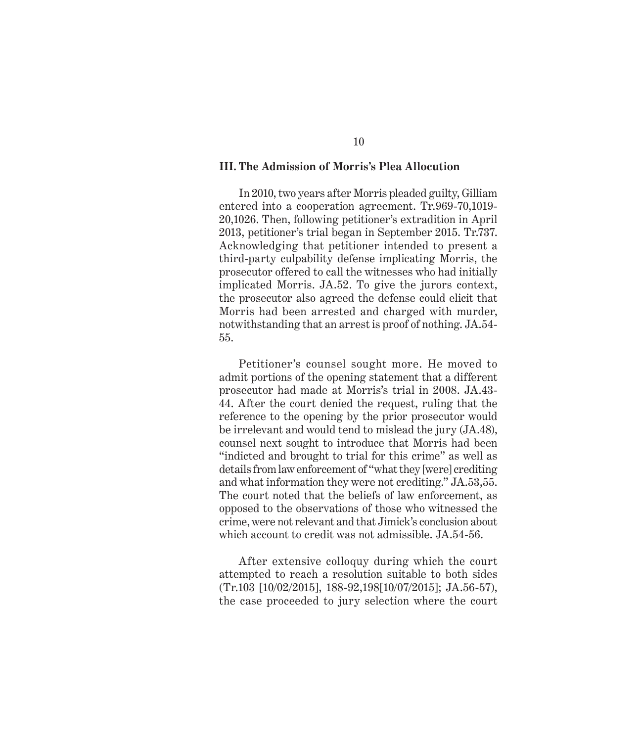#### **III. The Admission of Morris's Plea Allocution**

In 2010, two years after Morris pleaded guilty, Gilliam entered into a cooperation agreement. Tr.969-70,1019- 20,1026. Then, following petitioner's extradition in April 2013, petitioner's trial began in September 2015. Tr.737. Acknowledging that petitioner intended to present a third-party culpability defense implicating Morris, the prosecutor offered to call the witnesses who had initially implicated Morris. JA.52. To give the jurors context, the prosecutor also agreed the defense could elicit that Morris had been arrested and charged with murder, notwithstanding that an arrest is proof of nothing. JA.54- 55.

Petitioner's counsel sought more. He moved to admit portions of the opening statement that a different prosecutor had made at Morris's trial in 2008. JA.43- 44. After the court denied the request, ruling that the reference to the opening by the prior prosecutor would be irrelevant and would tend to mislead the jury (JA.48), counsel next sought to introduce that Morris had been "indicted and brought to trial for this crime" as well as details from law enforcement of "what they [were] crediting and what information they were not crediting." JA.53,55. The court noted that the beliefs of law enforcement, as opposed to the observations of those who witnessed the crime, were not relevant and that Jimick's conclusion about which account to credit was not admissible. JA.54-56.

After extensive colloquy during which the court attempted to reach a resolution suitable to both sides (Tr.103 [10/02/2015], 188-92,198[10/07/2015]; JA.56-57), the case proceeded to jury selection where the court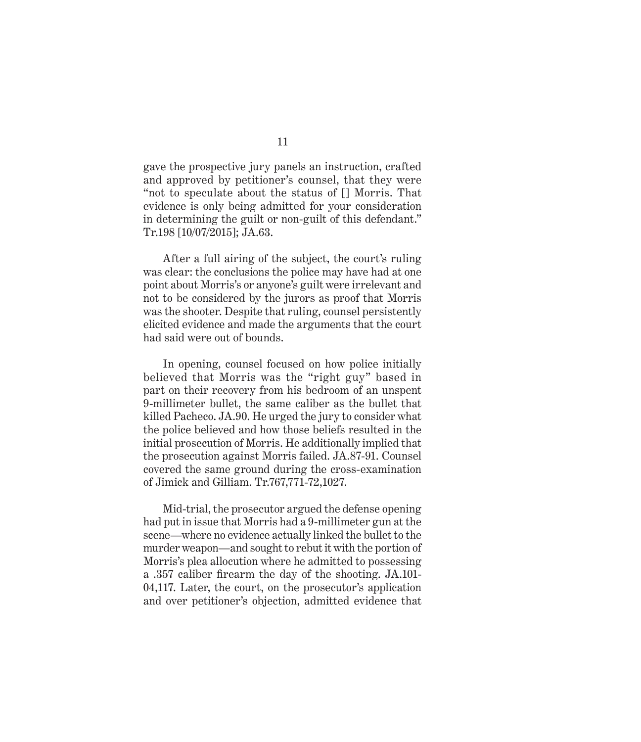gave the prospective jury panels an instruction, crafted and approved by petitioner's counsel, that they were "not to speculate about the status of [] Morris. That evidence is only being admitted for your consideration in determining the guilt or non-guilt of this defendant." Tr.198 [10/07/2015]; JA.63.

After a full airing of the subject, the court's ruling was clear: the conclusions the police may have had at one point about Morris's or anyone's guilt were irrelevant and not to be considered by the jurors as proof that Morris was the shooter. Despite that ruling, counsel persistently elicited evidence and made the arguments that the court had said were out of bounds.

In opening, counsel focused on how police initially believed that Morris was the "right guy" based in part on their recovery from his bedroom of an unspent 9-millimeter bullet, the same caliber as the bullet that killed Pacheco. JA.90. He urged the jury to consider what the police believed and how those beliefs resulted in the initial prosecution of Morris. He additionally implied that the prosecution against Morris failed. JA.87-91. Counsel covered the same ground during the cross-examination of Jimick and Gilliam. Tr.767,771-72,1027.

Mid-trial, the prosecutor argued the defense opening had put in issue that Morris had a 9-millimeter gun at the scene—where no evidence actually linked the bullet to the murder weapon—and sought to rebut it with the portion of Morris's plea allocution where he admitted to possessing a .357 caliber firearm the day of the shooting. JA.101- 04,117. Later, the court, on the prosecutor's application and over petitioner's objection, admitted evidence that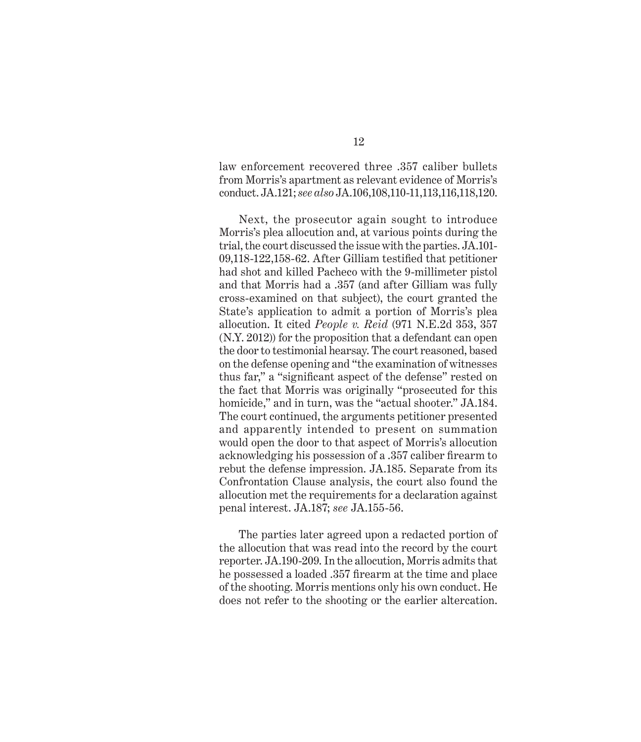law enforcement recovered three .357 caliber bullets from Morris's apartment as relevant evidence of Morris's conduct. JA.121; *see also* JA.106,108,110-11,113,116,118,120.

Next, the prosecutor again sought to introduce Morris's plea allocution and, at various points during the trial, the court discussed the issue with the parties. JA.101- 09,118-122,158-62. After Gilliam testified that petitioner had shot and killed Pacheco with the 9-millimeter pistol and that Morris had a .357 (and after Gilliam was fully cross-examined on that subject), the court granted the State's application to admit a portion of Morris's plea allocution. It cited *People v. Reid* (971 N.E.2d 353, 357 (N.Y. 2012)) for the proposition that a defendant can open the door to testimonial hearsay. The court reasoned, based on the defense opening and "the examination of witnesses thus far," a "significant aspect of the defense" rested on the fact that Morris was originally "prosecuted for this homicide," and in turn, was the "actual shooter." JA.184. The court continued, the arguments petitioner presented and apparently intended to present on summation would open the door to that aspect of Morris's allocution acknowledging his possession of a .357 caliber firearm to rebut the defense impression. JA.185. Separate from its Confrontation Clause analysis, the court also found the allocution met the requirements for a declaration against penal interest. JA.187; *see* JA.155-56.

The parties later agreed upon a redacted portion of the allocution that was read into the record by the court reporter. JA.190-209. In the allocution, Morris admits that he possessed a loaded .357 firearm at the time and place of the shooting. Morris mentions only his own conduct. He does not refer to the shooting or the earlier altercation.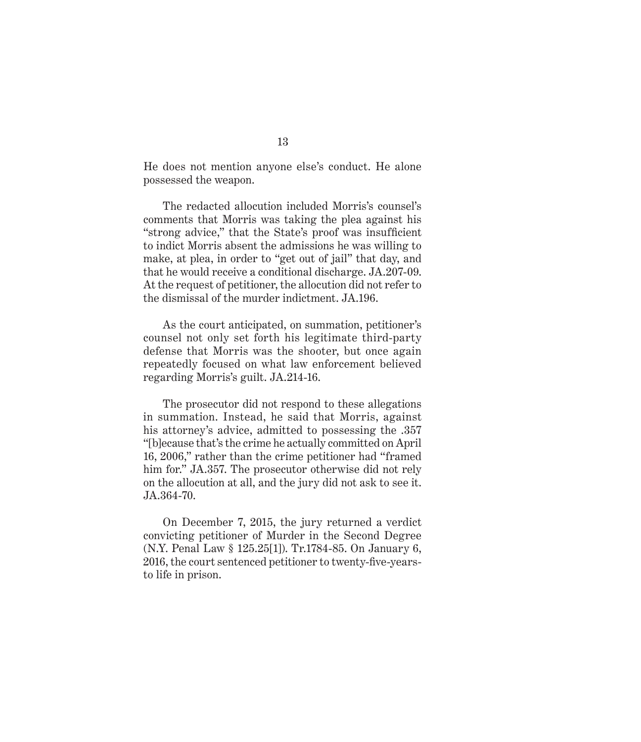He does not mention anyone else's conduct. He alone possessed the weapon.

The redacted allocution included Morris's counsel's comments that Morris was taking the plea against his "strong advice," that the State's proof was insufficient to indict Morris absent the admissions he was willing to make, at plea, in order to "get out of jail" that day, and that he would receive a conditional discharge. JA.207-09. At the request of petitioner, the allocution did not refer to the dismissal of the murder indictment. JA.196.

As the court anticipated, on summation, petitioner's counsel not only set forth his legitimate third-party defense that Morris was the shooter, but once again repeatedly focused on what law enforcement believed regarding Morris's guilt. JA.214-16.

The prosecutor did not respond to these allegations in summation. Instead, he said that Morris, against his attorney's advice, admitted to possessing the .357 "[b]ecause that's the crime he actually committed on April 16, 2006," rather than the crime petitioner had "framed him for." JA.357. The prosecutor otherwise did not rely on the allocution at all, and the jury did not ask to see it. JA.364-70.

On December 7, 2015, the jury returned a verdict convicting petitioner of Murder in the Second Degree (N.Y. Penal Law § 125.25[1]). Tr.1784-85. On January 6, 2016, the court sentenced petitioner to twenty-five-yearsto life in prison.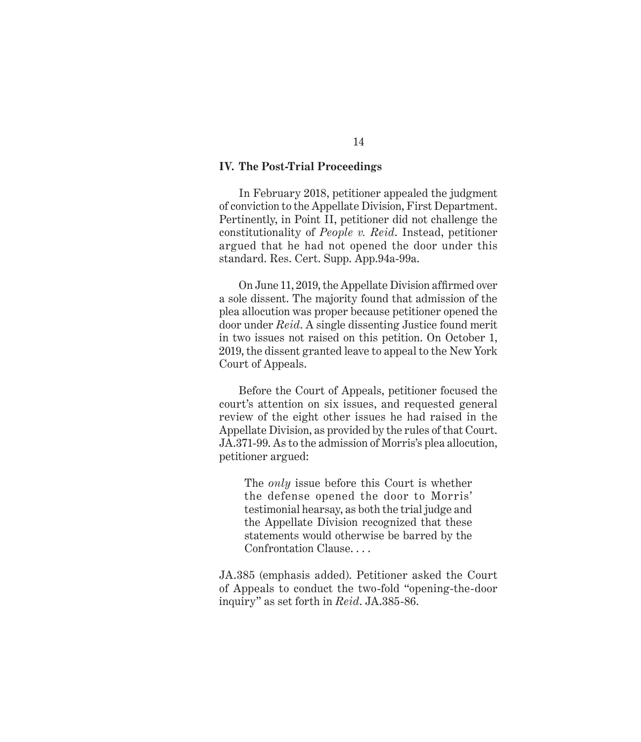#### **IV. The Post-Trial Proceedings**

In February 2018, petitioner appealed the judgment of conviction to the Appellate Division, First Department. Pertinently, in Point II, petitioner did not challenge the constitutionality of *People v. Reid*. Instead, petitioner argued that he had not opened the door under this standard. Res. Cert. Supp. App.94a-99a.

On June 11, 2019, the Appellate Division affirmed over a sole dissent. The majority found that admission of the plea allocution was proper because petitioner opened the door under *Reid*. A single dissenting Justice found merit in two issues not raised on this petition. On October 1, 2019, the dissent granted leave to appeal to the New York Court of Appeals.

Before the Court of Appeals, petitioner focused the court's attention on six issues, and requested general review of the eight other issues he had raised in the Appellate Division, as provided by the rules of that Court. JA.371-99. As to the admission of Morris's plea allocution, petitioner argued:

The *only* issue before this Court is whether the defense opened the door to Morris' testimonial hearsay, as both the trial judge and the Appellate Division recognized that these statements would otherwise be barred by the Confrontation Clause. . . .

JA.385 (emphasis added). Petitioner asked the Court of Appeals to conduct the two-fold "opening-the-door inquiry" as set forth in *Reid*. JA.385-86.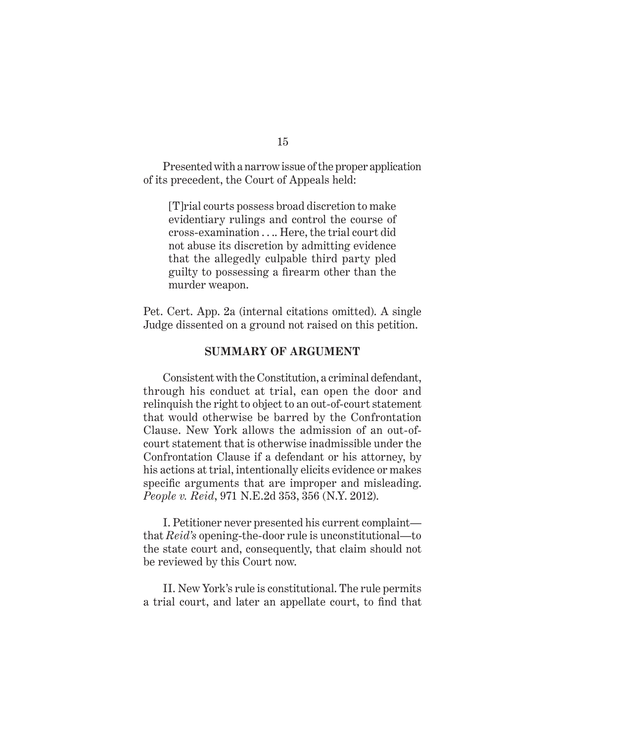Presented with a narrow issue of the proper application of its precedent, the Court of Appeals held:

[T]rial courts possess broad discretion to make evidentiary rulings and control the course of cross-examination . . .. Here, the trial court did not abuse its discretion by admitting evidence that the allegedly culpable third party pled guilty to possessing a firearm other than the murder weapon.

Pet. Cert. App. 2a (internal citations omitted). A single Judge dissented on a ground not raised on this petition.

#### **SUMMARY OF ARGUMENT**

Consistent with the Constitution, a criminal defendant, through his conduct at trial, can open the door and relinquish the right to object to an out-of-court statement that would otherwise be barred by the Confrontation Clause. New York allows the admission of an out-ofcourt statement that is otherwise inadmissible under the Confrontation Clause if a defendant or his attorney, by his actions at trial, intentionally elicits evidence or makes specific arguments that are improper and misleading. *People v. Reid*, 971 N.E.2d 353, 356 (N.Y. 2012).

I. Petitioner never presented his current complaint that *Reid's* opening-the-door rule is unconstitutional—to the state court and, consequently, that claim should not be reviewed by this Court now.

II. New York's rule is constitutional. The rule permits a trial court, and later an appellate court, to find that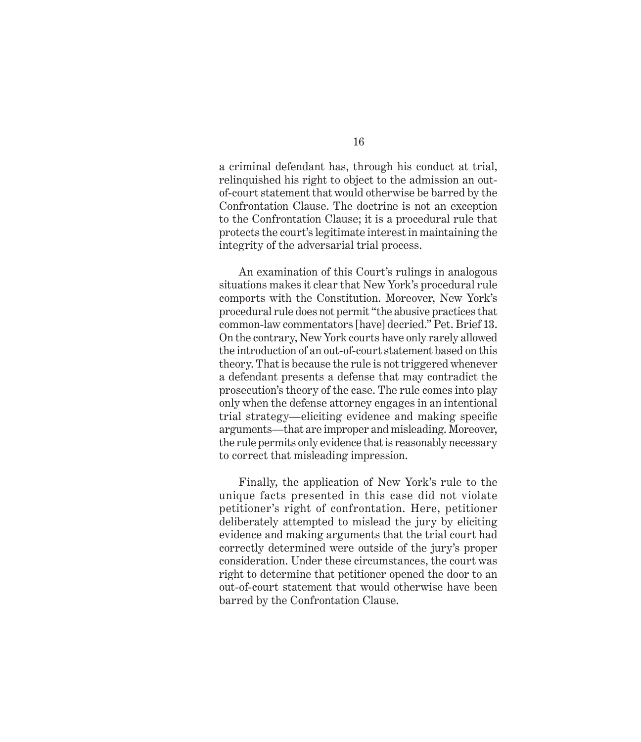a criminal defendant has, through his conduct at trial, relinquished his right to object to the admission an outof-court statement that would otherwise be barred by the Confrontation Clause. The doctrine is not an exception to the Confrontation Clause; it is a procedural rule that protects the court's legitimate interest in maintaining the integrity of the adversarial trial process.

An examination of this Court's rulings in analogous situations makes it clear that New York's procedural rule comports with the Constitution. Moreover, New York's procedural rule does not permit "the abusive practices that common-law commentators [have] decried." Pet. Brief 13. On the contrary, New York courts have only rarely allowed the introduction of an out-of-court statement based on this theory. That is because the rule is not triggered whenever a defendant presents a defense that may contradict the prosecution's theory of the case. The rule comes into play only when the defense attorney engages in an intentional trial strategy—eliciting evidence and making specific arguments—that are improper and misleading. Moreover, the rule permits only evidence that is reasonably necessary to correct that misleading impression.

Finally, the application of New York's rule to the unique facts presented in this case did not violate petitioner's right of confrontation. Here, petitioner deliberately attempted to mislead the jury by eliciting evidence and making arguments that the trial court had correctly determined were outside of the jury's proper consideration. Under these circumstances, the court was right to determine that petitioner opened the door to an out-of-court statement that would otherwise have been barred by the Confrontation Clause.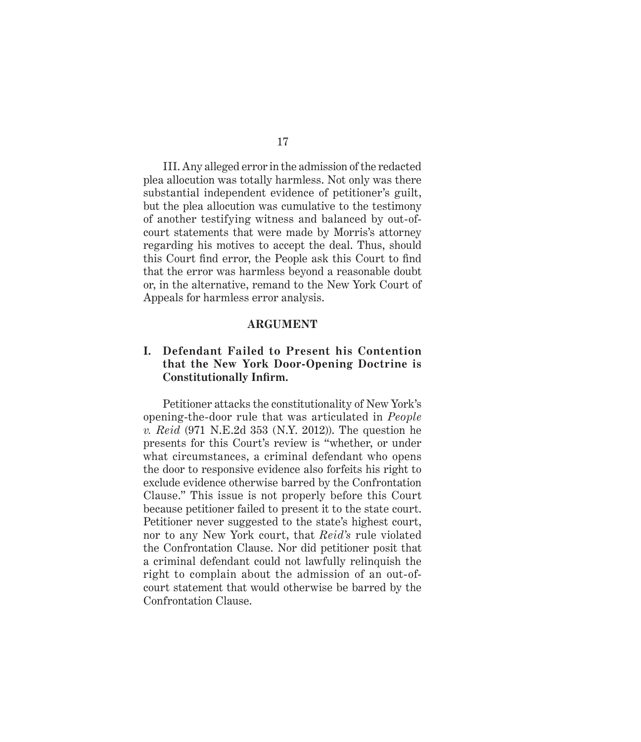III. Any alleged error in the admission of the redacted plea allocution was totally harmless. Not only was there substantial independent evidence of petitioner's guilt, but the plea allocution was cumulative to the testimony of another testifying witness and balanced by out-ofcourt statements that were made by Morris's attorney regarding his motives to accept the deal. Thus, should this Court find error, the People ask this Court to find that the error was harmless beyond a reasonable doubt or, in the alternative, remand to the New York Court of Appeals for harmless error analysis.

#### **ARGUMENT**

### **I. Defendant Failed to Present his Contention that the New York Door-Opening Doctrine is Constitutionally Infirm.**

Petitioner attacks the constitutionality of New York's opening-the-door rule that was articulated in *People v. Reid* (971 N.E.2d 353 (N.Y. 2012)). The question he presents for this Court's review is "whether, or under what circumstances, a criminal defendant who opens the door to responsive evidence also forfeits his right to exclude evidence otherwise barred by the Confrontation Clause." This issue is not properly before this Court because petitioner failed to present it to the state court. Petitioner never suggested to the state's highest court, nor to any New York court, that *Reid's* rule violated the Confrontation Clause. Nor did petitioner posit that a criminal defendant could not lawfully relinquish the right to complain about the admission of an out-ofcourt statement that would otherwise be barred by the Confrontation Clause.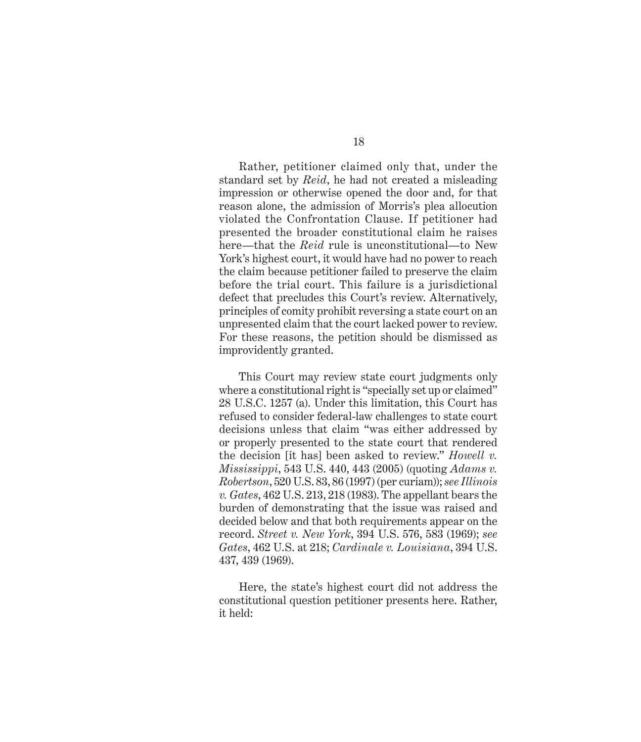Rather, petitioner claimed only that, under the standard set by *Reid*, he had not created a misleading impression or otherwise opened the door and, for that reason alone, the admission of Morris's plea allocution violated the Confrontation Clause. If petitioner had presented the broader constitutional claim he raises here—that the *Reid* rule is unconstitutional—to New York's highest court, it would have had no power to reach the claim because petitioner failed to preserve the claim before the trial court. This failure is a jurisdictional defect that precludes this Court's review. Alternatively, principles of comity prohibit reversing a state court on an unpresented claim that the court lacked power to review. For these reasons, the petition should be dismissed as improvidently granted.

This Court may review state court judgments only where a constitutional right is "specially set up or claimed" 28 U.S.C. 1257 (a). Under this limitation, this Court has refused to consider federal-law challenges to state court decisions unless that claim "was either addressed by or properly presented to the state court that rendered the decision [it has] been asked to review." *Howell v. Mississippi*, 543 U.S. 440, 443 (2005) (quoting *Adams v. Robertson*, 520 U.S. 83, 86 (1997) (per curiam)); *see Illinois v. Gates*, 462 U.S. 213, 218 (1983). The appellant bears the burden of demonstrating that the issue was raised and decided below and that both requirements appear on the record. *Street v. New York*, 394 U.S. 576, 583 (1969); *see Gates*, 462 U.S. at 218; *Cardinale v. Louisiana*, 394 U.S. 437, 439 (1969).

Here, the state's highest court did not address the constitutional question petitioner presents here. Rather, it held: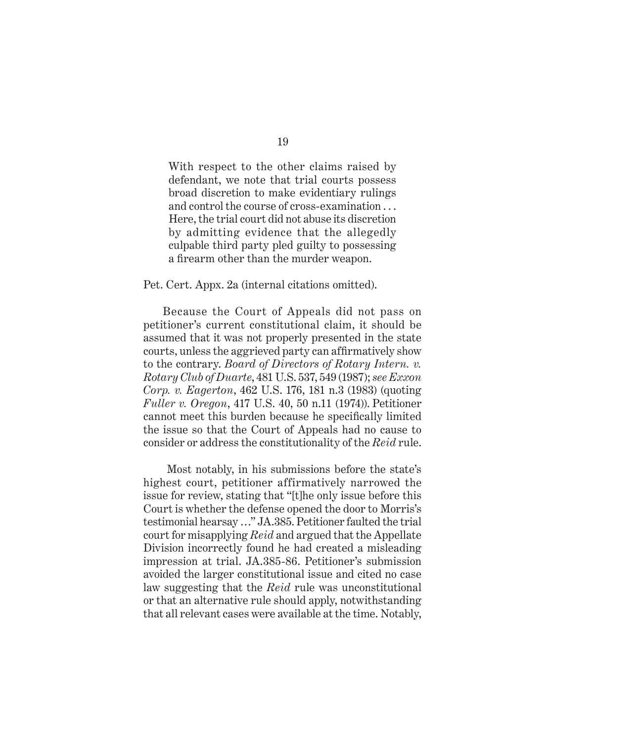With respect to the other claims raised by defendant, we note that trial courts possess broad discretion to make evidentiary rulings and control the course of cross-examination . . . Here, the trial court did not abuse its discretion by admitting evidence that the allegedly culpable third party pled guilty to possessing a firearm other than the murder weapon.

#### Pet. Cert. Appx. 2a (internal citations omitted).

Because the Court of Appeals did not pass on petitioner's current constitutional claim, it should be assumed that it was not properly presented in the state courts, unless the aggrieved party can affirmatively show to the contrary. *Board of Directors of Rotary Intern. v. Rotary Club of Duarte*, 481 U.S. 537, 549 (1987); *see Exxon Corp. v. Eagerton*, 462 U.S. 176, 181 n.3 (1983) (quoting *Fuller v. Oregon*, 417 U.S. 40, 50 n.11 (1974)). Petitioner cannot meet this burden because he specifically limited the issue so that the Court of Appeals had no cause to consider or address the constitutionality of the *Reid* rule.

 Most notably, in his submissions before the state's highest court, petitioner affirmatively narrowed the issue for review, stating that "[t]he only issue before this Court is whether the defense opened the door to Morris's testimonial hearsay …" JA.385. Petitioner faulted the trial court for misapplying *Reid* and argued that the Appellate Division incorrectly found he had created a misleading impression at trial. JA.385-86. Petitioner's submission avoided the larger constitutional issue and cited no case law suggesting that the *Reid* rule was unconstitutional or that an alternative rule should apply, notwithstanding that all relevant cases were available at the time. Notably,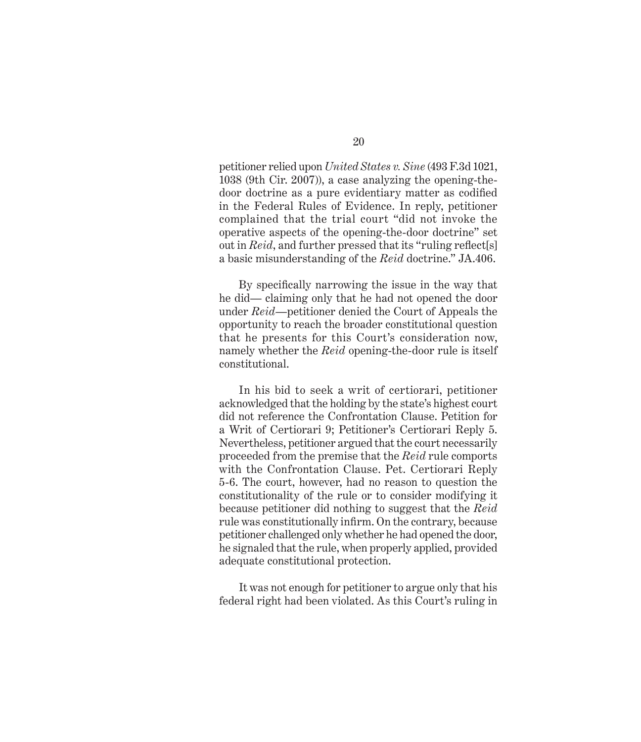petitioner relied upon *United States v. Sine* (493 F.3d 1021, 1038 (9th Cir. 2007)), a case analyzing the opening-thedoor doctrine as a pure evidentiary matter as codified in the Federal Rules of Evidence. In reply, petitioner complained that the trial court "did not invoke the operative aspects of the opening-the-door doctrine" set out in *Reid*, and further pressed that its "ruling reflect[s] a basic misunderstanding of the *Reid* doctrine." JA.406.

By specifically narrowing the issue in the way that he did— claiming only that he had not opened the door under *Reid*—petitioner denied the Court of Appeals the opportunity to reach the broader constitutional question that he presents for this Court's consideration now, namely whether the *Reid* opening-the-door rule is itself constitutional.

In his bid to seek a writ of certiorari, petitioner acknowledged that the holding by the state's highest court did not reference the Confrontation Clause. Petition for a Writ of Certiorari 9; Petitioner's Certiorari Reply 5. Nevertheless, petitioner argued that the court necessarily proceeded from the premise that the *Reid* rule comports with the Confrontation Clause. Pet. Certiorari Reply 5-6. The court, however, had no reason to question the constitutionality of the rule or to consider modifying it because petitioner did nothing to suggest that the *Reid* rule was constitutionally infirm. On the contrary, because petitioner challenged only whether he had opened the door, he signaled that the rule, when properly applied, provided adequate constitutional protection.

It was not enough for petitioner to argue only that his federal right had been violated. As this Court's ruling in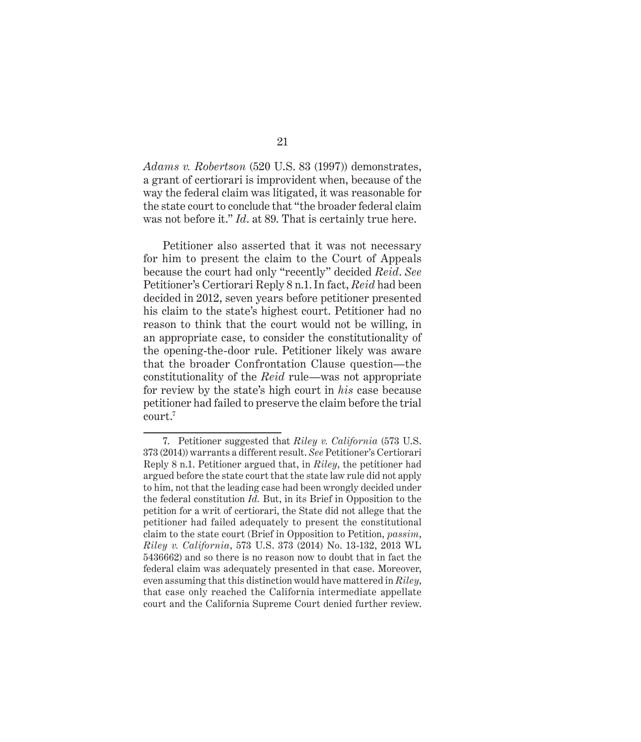*Adams v. Robertson* (520 U.S. 83 (1997)) demonstrates, a grant of certiorari is improvident when, because of the way the federal claim was litigated, it was reasonable for the state court to conclude that "the broader federal claim was not before it." *Id*. at 89. That is certainly true here.

Petitioner also asserted that it was not necessary for him to present the claim to the Court of Appeals because the court had only "recently" decided *Reid*. *See* Petitioner's Certiorari Reply 8 n.1. In fact, *Reid* had been decided in 2012, seven years before petitioner presented his claim to the state's highest court. Petitioner had no reason to think that the court would not be willing, in an appropriate case, to consider the constitutionality of the opening-the-door rule. Petitioner likely was aware that the broader Confrontation Clause question—the constitutionality of the *Reid* rule—was not appropriate for review by the state's high court in *his* case because petitioner had failed to preserve the claim before the trial court.<sup>7</sup>

<sup>7.</sup> Petitioner suggested that *Riley v. California* (573 U.S. 373 (2014)) warrants a different result. *See* Petitioner's Certiorari Reply 8 n.1. Petitioner argued that, in *Riley*, the petitioner had argued before the state court that the state law rule did not apply to him, not that the leading case had been wrongly decided under the federal constitution *Id.* But, in its Brief in Opposition to the petition for a writ of certiorari, the State did not allege that the petitioner had failed adequately to present the constitutional claim to the state court (Brief in Opposition to Petition, *passim*, *Riley v. California*, 573 U.S. 373 (2014) No. 13-132, 2013 WL 5436662) and so there is no reason now to doubt that in fact the federal claim was adequately presented in that case. Moreover, even assuming that this distinction would have mattered in *Riley*, that case only reached the California intermediate appellate court and the California Supreme Court denied further review.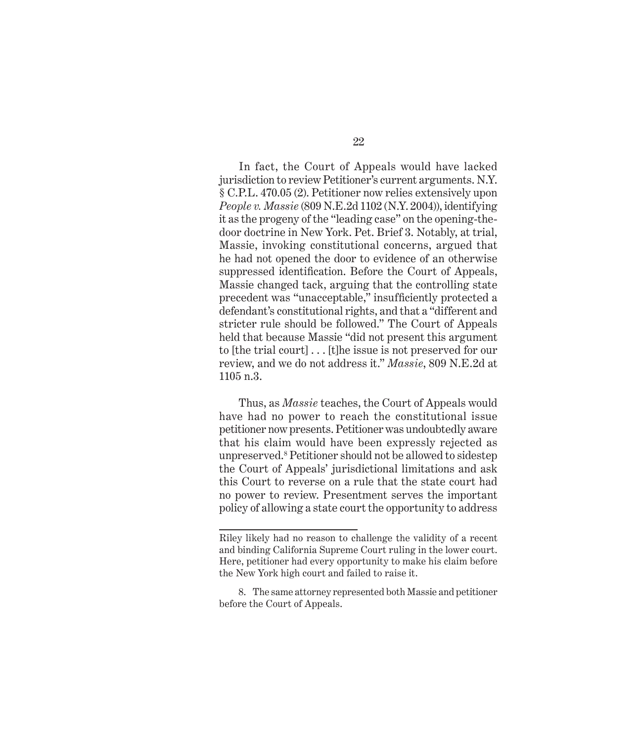In fact, the Court of Appeals would have lacked jurisdiction to review Petitioner's current arguments. N.Y. § C.P.L. 470.05 (2). Petitioner now relies extensively upon *People v. Massie* (809 N.E.2d 1102 (N.Y. 2004)), identifying it as the progeny of the "leading case" on the opening-thedoor doctrine in New York. Pet. Brief 3. Notably, at trial, Massie, invoking constitutional concerns, argued that he had not opened the door to evidence of an otherwise suppressed identification. Before the Court of Appeals, Massie changed tack, arguing that the controlling state precedent was "unacceptable," insufficiently protected a defendant's constitutional rights, and that a "different and stricter rule should be followed." The Court of Appeals held that because Massie "did not present this argument to [the trial court] . . . [t]he issue is not preserved for our review, and we do not address it." *Massie*, 809 N.E.2d at 1105 n.3.

Thus, as *Massie* teaches, the Court of Appeals would have had no power to reach the constitutional issue petitioner now presents. Petitioner was undoubtedly aware that his claim would have been expressly rejected as unpreserved.<sup>8</sup> Petitioner should not be allowed to sidestep the Court of Appeals' jurisdictional limitations and ask this Court to reverse on a rule that the state court had no power to review. Presentment serves the important policy of allowing a state court the opportunity to address

Riley likely had no reason to challenge the validity of a recent and binding California Supreme Court ruling in the lower court. Here, petitioner had every opportunity to make his claim before the New York high court and failed to raise it.

<sup>8.</sup> The same attorney represented both Massie and petitioner before the Court of Appeals.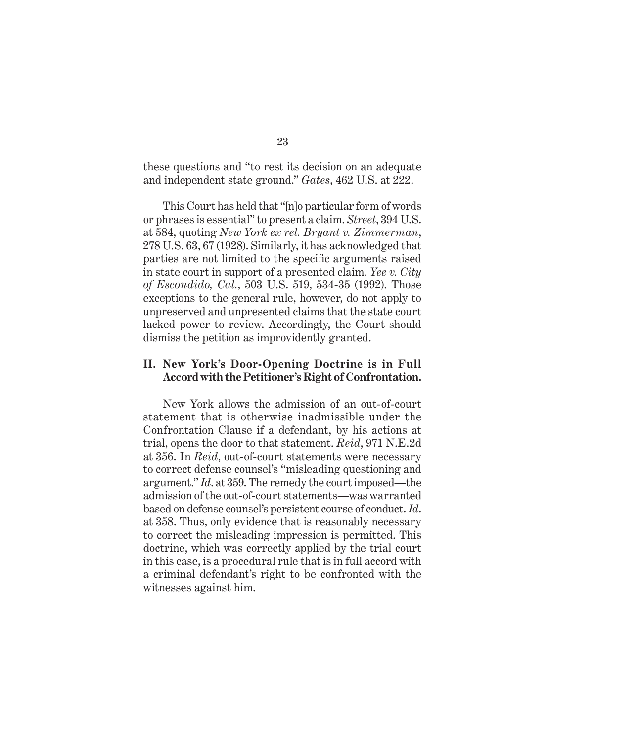these questions and "to rest its decision on an adequate and independent state ground." *Gates*, 462 U.S. at 222.

This Court has held that "[n]o particular form of words or phrases is essential" to present a claim. *Street*, 394 U.S. at 584, quoting *New York ex rel. Bryant v. Zimmerman*, 278 U.S. 63, 67 (1928). Similarly, it has acknowledged that parties are not limited to the specific arguments raised in state court in support of a presented claim. *Yee v. City of Escondido, Cal.*, 503 U.S. 519, 534-35 (1992). Those exceptions to the general rule, however, do not apply to unpreserved and unpresented claims that the state court lacked power to review. Accordingly, the Court should dismiss the petition as improvidently granted.

#### **II. New York's Door-Opening Doctrine is in Full Accord with the Petitioner's Right of Confrontation.**

New York allows the admission of an out-of-court statement that is otherwise inadmissible under the Confrontation Clause if a defendant, by his actions at trial, opens the door to that statement. *Reid*, 971 N.E.2d at 356. In *Reid*, out-of-court statements were necessary to correct defense counsel's "misleading questioning and argument." *Id*. at 359. The remedy the court imposed—the admission of the out-of-court statements—was warranted based on defense counsel's persistent course of conduct. *Id*. at 358. Thus, only evidence that is reasonably necessary to correct the misleading impression is permitted. This doctrine, which was correctly applied by the trial court in this case, is a procedural rule that is in full accord with a criminal defendant's right to be confronted with the witnesses against him.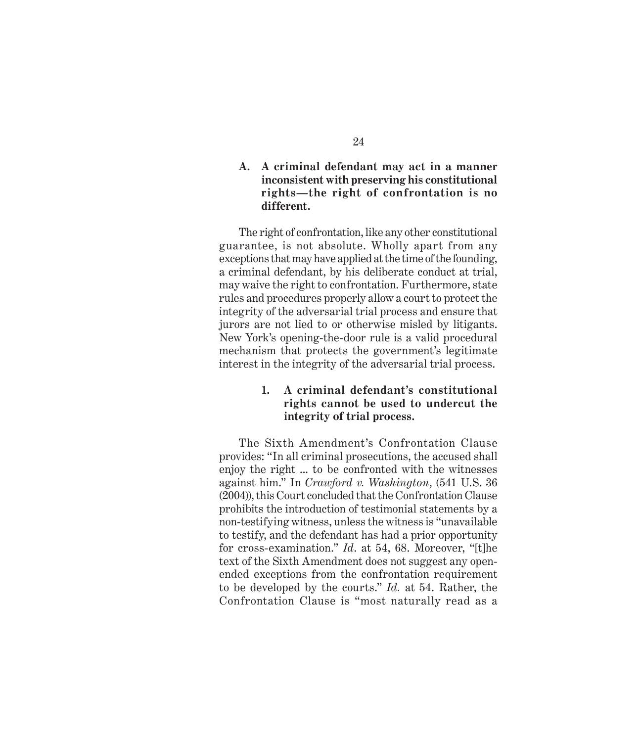### **A. A criminal defendant may act in a manner inconsistent with preserving his constitutional rights—the right of confrontation is no different.**

The right of confrontation, like any other constitutional guarantee, is not absolute. Wholly apart from any exceptions that may have applied at the time of the founding, a criminal defendant, by his deliberate conduct at trial, may waive the right to confrontation. Furthermore, state rules and procedures properly allow a court to protect the integrity of the adversarial trial process and ensure that jurors are not lied to or otherwise misled by litigants. New York's opening-the-door rule is a valid procedural mechanism that protects the government's legitimate interest in the integrity of the adversarial trial process.

### **1. A criminal defendant's constitutional rights cannot be used to undercut the integrity of trial process.**

The Sixth Amendment's Confrontation Clause provides: "In all criminal prosecutions, the accused shall enjoy the right ... to be confronted with the witnesses against him." In *Crawford v. Washington*, (541 U.S. 36 (2004)), this Court concluded that the Confrontation Clause prohibits the introduction of testimonial statements by a non-testifying witness, unless the witness is "unavailable to testify, and the defendant has had a prior opportunity for cross-examination." *Id*. at 54, 68. Moreover, "[t]he text of the Sixth Amendment does not suggest any openended exceptions from the confrontation requirement to be developed by the courts." *Id.* at 54. Rather, the Confrontation Clause is "most naturally read as a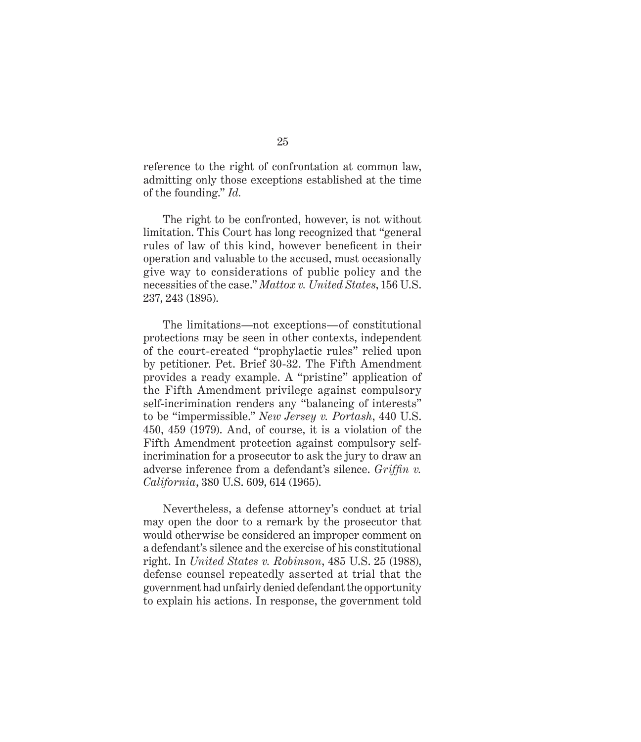reference to the right of confrontation at common law, admitting only those exceptions established at the time of the founding." *Id.*

The right to be confronted, however, is not without limitation. This Court has long recognized that "general rules of law of this kind, however beneficent in their operation and valuable to the accused, must occasionally give way to considerations of public policy and the necessities of the case." *Mattox v. United States*, 156 U.S. 237, 243 (1895).

The limitations—not exceptions—of constitutional protections may be seen in other contexts, independent of the court-created "prophylactic rules" relied upon by petitioner. Pet. Brief 30-32. The Fifth Amendment provides a ready example. A "pristine" application of the Fifth Amendment privilege against compulsory self-incrimination renders any "balancing of interests" to be "impermissible." *New Jersey v. Portash*, 440 U.S. 450, 459 (1979). And, of course, it is a violation of the Fifth Amendment protection against compulsory selfincrimination for a prosecutor to ask the jury to draw an adverse inference from a defendant's silence. *Griffin v. California*, 380 U.S. 609, 614 (1965).

Nevertheless, a defense attorney's conduct at trial may open the door to a remark by the prosecutor that would otherwise be considered an improper comment on a defendant's silence and the exercise of his constitutional right. In *United States v. Robinson*, 485 U.S. 25 (1988), defense counsel repeatedly asserted at trial that the government had unfairly denied defendant the opportunity to explain his actions. In response, the government told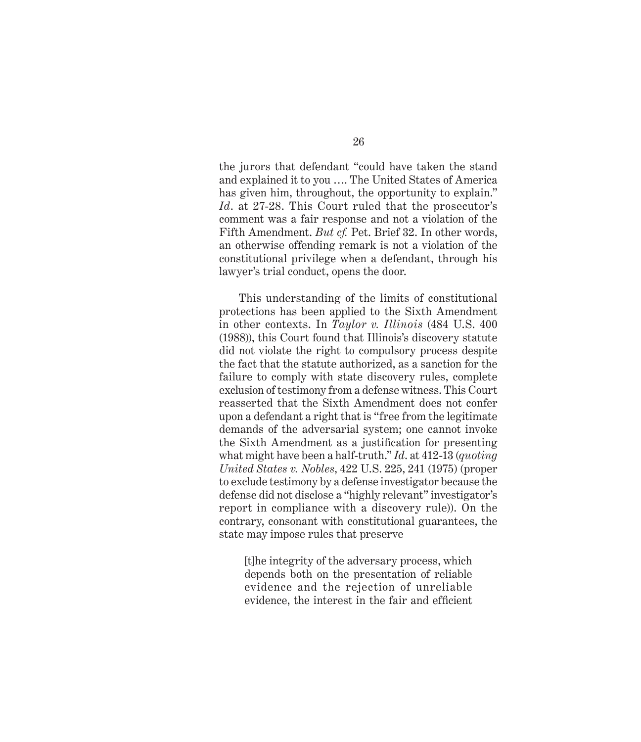the jurors that defendant "could have taken the stand and explained it to you …. The United States of America has given him, throughout, the opportunity to explain." *Id*. at 27-28. This Court ruled that the prosecutor's comment was a fair response and not a violation of the Fifth Amendment. *But cf.* Pet. Brief 32. In other words, an otherwise offending remark is not a violation of the constitutional privilege when a defendant, through his lawyer's trial conduct, opens the door.

This understanding of the limits of constitutional protections has been applied to the Sixth Amendment in other contexts. In *Taylor v. Illinois* (484 U.S. 400 (1988)), this Court found that Illinois's discovery statute did not violate the right to compulsory process despite the fact that the statute authorized, as a sanction for the failure to comply with state discovery rules, complete exclusion of testimony from a defense witness. This Court reasserted that the Sixth Amendment does not confer upon a defendant a right that is "free from the legitimate demands of the adversarial system; one cannot invoke the Sixth Amendment as a justification for presenting what might have been a half-truth." *Id*. at 412-13 (*quoting United States v. Nobles*, 422 U.S. 225, 241 (1975) (proper to exclude testimony by a defense investigator because the defense did not disclose a "highly relevant" investigator's report in compliance with a discovery rule)). On the contrary, consonant with constitutional guarantees, the state may impose rules that preserve

[t]he integrity of the adversary process, which depends both on the presentation of reliable evidence and the rejection of unreliable evidence, the interest in the fair and efficient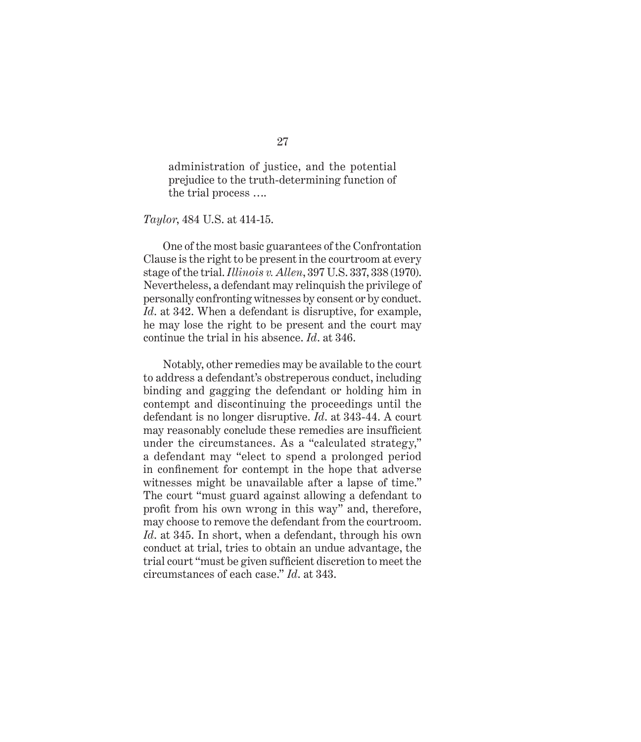administration of justice, and the potential prejudice to the truth-determining function of the trial process ….

*Taylor*, 484 U.S. at 414-15.

One of the most basic guarantees of the Confrontation Clause is the right to be present in the courtroom at every stage of the trial. *Illinois v. Allen*, 397 U.S. 337, 338 (1970). Nevertheless, a defendant may relinquish the privilege of personally confronting witnesses by consent or by conduct. *Id*. at 342. When a defendant is disruptive, for example, he may lose the right to be present and the court may continue the trial in his absence. *Id*. at 346.

Notably, other remedies may be available to the court to address a defendant's obstreperous conduct, including binding and gagging the defendant or holding him in contempt and discontinuing the proceedings until the defendant is no longer disruptive. *Id*. at 343-44. A court may reasonably conclude these remedies are insufficient under the circumstances. As a "calculated strategy," a defendant may "elect to spend a prolonged period in confinement for contempt in the hope that adverse witnesses might be unavailable after a lapse of time." The court "must guard against allowing a defendant to profit from his own wrong in this way" and, therefore, may choose to remove the defendant from the courtroom. *Id*. at 345. In short, when a defendant, through his own conduct at trial, tries to obtain an undue advantage, the trial court "must be given sufficient discretion to meet the circumstances of each case." *Id*. at 343.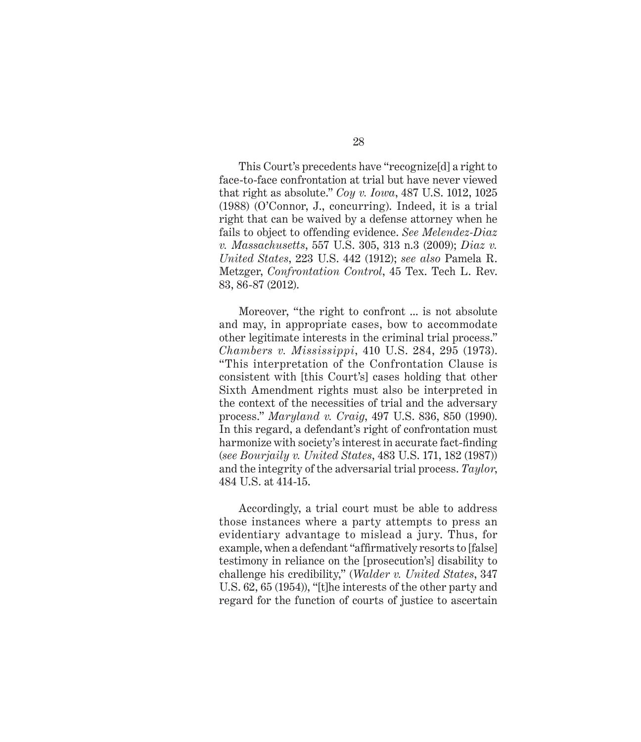This Court's precedents have "recognize[d] a right to face-to-face confrontation at trial but have never viewed that right as absolute." *Coy v. Iowa*, 487 U.S. 1012, 1025 (1988) (O'Connor, J., concurring). Indeed, it is a trial right that can be waived by a defense attorney when he fails to object to offending evidence. *See Melendez-Diaz v. Massachusetts*, 557 U.S. 305, 313 n.3 (2009); *Diaz v. United States*, 223 U.S. 442 (1912); *see also* Pamela R. Metzger, *Confrontation Control*, 45 Tex. Tech L. Rev. 83, 86-87 (2012).

Moreover, "the right to confront ... is not absolute and may, in appropriate cases, bow to accommodate other legitimate interests in the criminal trial process." *Chambers v. Mississippi*, 410 U.S. 284, 295 (1973). "This interpretation of the Confrontation Clause is consistent with [this Court's] cases holding that other Sixth Amendment rights must also be interpreted in the context of the necessities of trial and the adversary process." *Maryland v. Craig*, 497 U.S. 836, 850 (1990). In this regard, a defendant's right of confrontation must harmonize with society's interest in accurate fact-finding (*see Bourjaily v. United States*, 483 U.S. 171, 182 (1987)) and the integrity of the adversarial trial process. *Taylor*, 484 U.S. at 414-15.

Accordingly, a trial court must be able to address those instances where a party attempts to press an evidentiary advantage to mislead a jury. Thus, for example, when a defendant "affirmatively resorts to [false] testimony in reliance on the [prosecution's] disability to challenge his credibility," (*Walder v. United States*, 347 U.S. 62, 65 (1954)), "[t]he interests of the other party and regard for the function of courts of justice to ascertain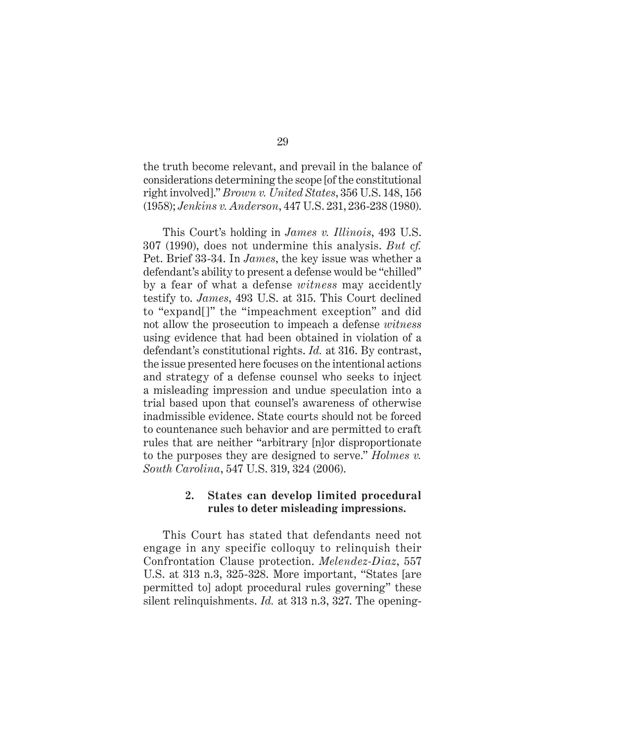the truth become relevant, and prevail in the balance of considerations determining the scope [of the constitutional right involved]." *Brown v. United States*, 356 U.S. 148, 156 (1958); *Jenkins v. Anderson*, 447 U.S. 231, 236-238 (1980).

This Court's holding in *James v. Illinois*, 493 U.S. 307 (1990), does not undermine this analysis. *But cf.* Pet. Brief 33-34. In *James*, the key issue was whether a defendant's ability to present a defense would be "chilled" by a fear of what a defense *witness* may accidently testify to. *James*, 493 U.S. at 315. This Court declined to "expand[]" the "impeachment exception" and did not allow the prosecution to impeach a defense *witness* using evidence that had been obtained in violation of a defendant's constitutional rights. *Id.* at 316. By contrast, the issue presented here focuses on the intentional actions and strategy of a defense counsel who seeks to inject a misleading impression and undue speculation into a trial based upon that counsel's awareness of otherwise inadmissible evidence. State courts should not be forced to countenance such behavior and are permitted to craft rules that are neither "arbitrary [n]or disproportionate to the purposes they are designed to serve." *Holmes v. South Carolina*, 547 U.S. 319, 324 (2006).

#### **2. States can develop limited procedural rules to deter misleading impressions.**

This Court has stated that defendants need not engage in any specific colloquy to relinquish their Confrontation Clause protection. *Melendez-Diaz*, 557 U.S. at 313 n.3, 325-328. More important, "States [are permitted to] adopt procedural rules governing" these silent relinquishments. *Id.* at 313 n.3, 327. The opening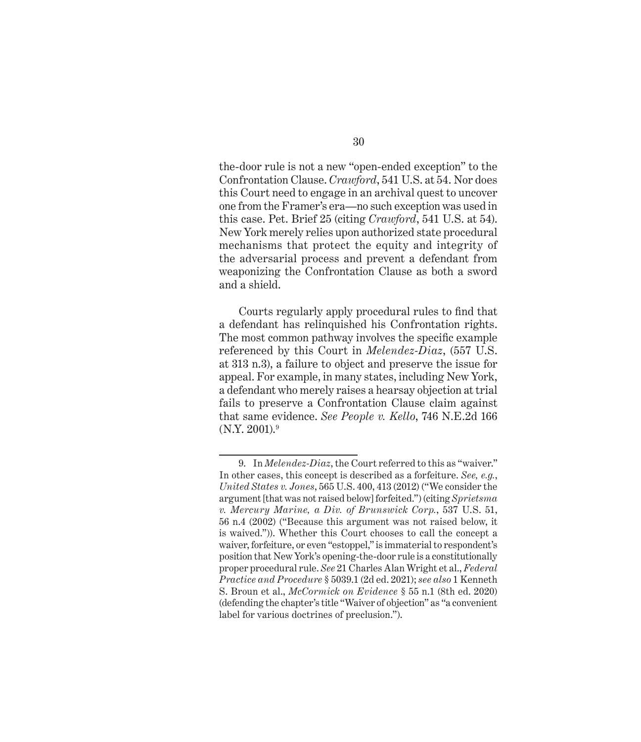the-door rule is not a new "open-ended exception" to the Confrontation Clause. *Crawford*, 541 U.S. at 54. Nor does this Court need to engage in an archival quest to uncover one from the Framer's era—no such exception was used in this case. Pet. Brief 25 (citing *Crawford*, 541 U.S. at 54). New York merely relies upon authorized state procedural mechanisms that protect the equity and integrity of the adversarial process and prevent a defendant from weaponizing the Confrontation Clause as both a sword and a shield.

Courts regularly apply procedural rules to find that a defendant has relinquished his Confrontation rights. The most common pathway involves the specific example referenced by this Court in *Melendez-Diaz*, (557 U.S. at 313 n.3), a failure to object and preserve the issue for appeal. For example, in many states, including New York, a defendant who merely raises a hearsay objection at trial fails to preserve a Confrontation Clause claim against that same evidence. *See People v. Kello*, 746 N.E.2d 166  $(N.Y. 2001).<sup>9</sup>$ 

<sup>9.</sup> In *Melendez-Diaz*, the Court referred to this as "waiver." In other cases, this concept is described as a forfeiture. *See, e.g.*, *United States v. Jones*, 565 U.S. 400, 413 (2012) ("We consider the argument [that was not raised below] forfeited.") (citing *Sprietsma v. Mercury Marine, a Div. of Brunswick Corp.*, 537 U.S. 51, 56 n.4 (2002) ("Because this argument was not raised below, it is waived.")). Whether this Court chooses to call the concept a waiver, forfeiture, or even "estoppel," is immaterial to respondent's position that New York's opening-the-door rule is a constitutionally proper procedural rule. *See* 21 Charles Alan Wright et al., *Federal Practice and Procedure* § 5039.1 (2d ed. 2021); *see also* 1 Kenneth S. Broun et al., *McCormick on Evidence* § 55 n.1 (8th ed. 2020) (defending the chapter's title "Waiver of objection" as "a convenient label for various doctrines of preclusion.").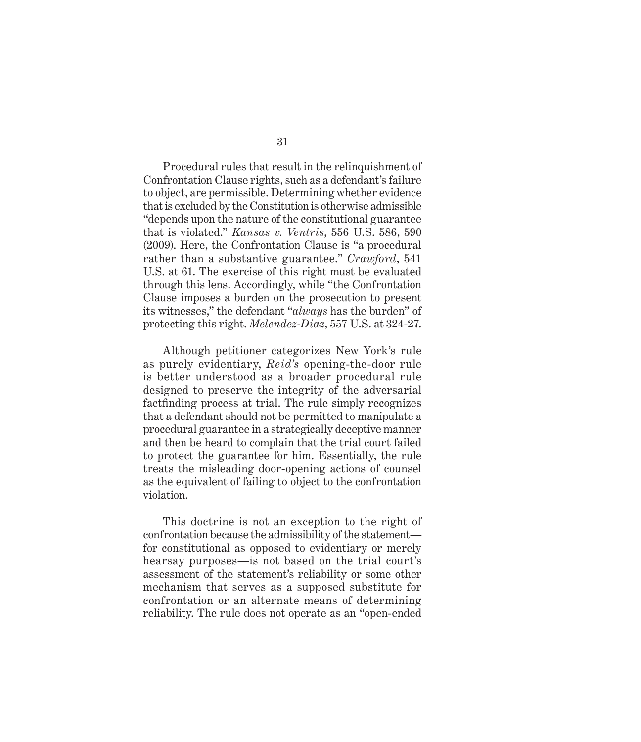Procedural rules that result in the relinquishment of Confrontation Clause rights, such as a defendant's failure to object, are permissible. Determining whether evidence that is excluded by the Constitution is otherwise admissible "depends upon the nature of the constitutional guarantee that is violated." *Kansas v. Ventris*, 556 U.S. 586, 590 (2009). Here, the Confrontation Clause is "a procedural rather than a substantive guarantee." *Crawford*, 541 U.S. at 61. The exercise of this right must be evaluated through this lens. Accordingly, while "the Confrontation Clause imposes a burden on the prosecution to present its witnesses," the defendant "*always* has the burden" of protecting this right. *Melendez-Diaz*, 557 U.S. at 324-27.

Although petitioner categorizes New York's rule as purely evidentiary, *Reid's* opening-the-door rule is better understood as a broader procedural rule designed to preserve the integrity of the adversarial factfinding process at trial. The rule simply recognizes that a defendant should not be permitted to manipulate a procedural guarantee in a strategically deceptive manner and then be heard to complain that the trial court failed to protect the guarantee for him. Essentially, the rule treats the misleading door-opening actions of counsel as the equivalent of failing to object to the confrontation violation.

This doctrine is not an exception to the right of confrontation because the admissibility of the statement for constitutional as opposed to evidentiary or merely hearsay purposes—is not based on the trial court's assessment of the statement's reliability or some other mechanism that serves as a supposed substitute for confrontation or an alternate means of determining reliability. The rule does not operate as an "open-ended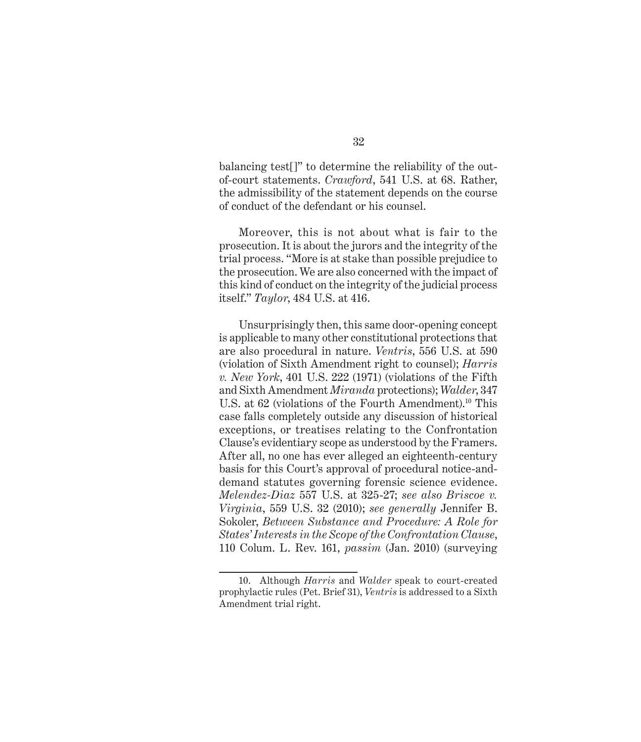balancing test[]" to determine the reliability of the outof-court statements. *Crawford*, 541 U.S. at 68. Rather, the admissibility of the statement depends on the course of conduct of the defendant or his counsel.

Moreover, this is not about what is fair to the prosecution. It is about the jurors and the integrity of the trial process. "More is at stake than possible prejudice to the prosecution. We are also concerned with the impact of this kind of conduct on the integrity of the judicial process itself." *Taylor*, 484 U.S. at 416.

Unsurprisingly then, this same door-opening concept is applicable to many other constitutional protections that are also procedural in nature. *Ventris*, 556 U.S. at 590 (violation of Sixth Amendment right to counsel); *Harris v. New York*, 401 U.S. 222 (1971) (violations of the Fifth and Sixth Amendment *Miranda* protections); *Walder*, 347 U.S. at 62 (violations of the Fourth Amendment).<sup>10</sup> This case falls completely outside any discussion of historical exceptions, or treatises relating to the Confrontation Clause's evidentiary scope as understood by the Framers. After all, no one has ever alleged an eighteenth-century basis for this Court's approval of procedural notice-anddemand statutes governing forensic science evidence. *Melendez-Diaz* 557 U.S. at 325-27; *see also Briscoe v. Virginia*, 559 U.S. 32 (2010); *see generally* Jennifer B. Sokoler, *Between Substance and Procedure: A Role for States' Interests in the Scope of the Confrontation Clause*, 110 Colum. L. Rev. 161, *passim* (Jan. 2010) (surveying

<sup>10.</sup> Although *Harris* and *Walder* speak to court-created prophylactic rules (Pet. Brief 31), *Ventris* is addressed to a Sixth Amendment trial right.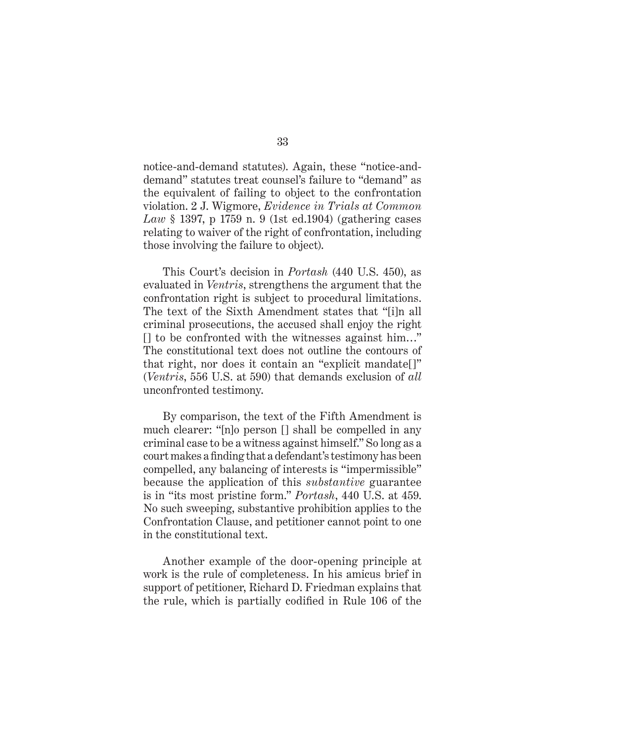notice-and-demand statutes). Again, these "notice-anddemand" statutes treat counsel's failure to "demand" as the equivalent of failing to object to the confrontation violation. 2 J. Wigmore, *Evidence in Trials at Common Law* § 1397, p 1759 n. 9 (1st ed.1904) (gathering cases relating to waiver of the right of confrontation, including those involving the failure to object).

This Court's decision in *Portash* (440 U.S. 450), as evaluated in *Ventris*, strengthens the argument that the confrontation right is subject to procedural limitations. The text of the Sixth Amendment states that "[i]n all criminal prosecutions, the accused shall enjoy the right [] to be confronted with the witnesses against him…" The constitutional text does not outline the contours of that right, nor does it contain an "explicit mandate[]" (*Ventris*, 556 U.S. at 590) that demands exclusion of *all* unconfronted testimony.

By comparison, the text of the Fifth Amendment is much clearer: "[n]o person [] shall be compelled in any criminal case to be a witness against himself." So long as a court makes a finding that a defendant's testimony has been compelled, any balancing of interests is "impermissible" because the application of this *substantive* guarantee is in "its most pristine form." *Portash*, 440 U.S. at 459. No such sweeping, substantive prohibition applies to the Confrontation Clause, and petitioner cannot point to one in the constitutional text.

Another example of the door-opening principle at work is the rule of completeness. In his amicus brief in support of petitioner, Richard D. Friedman explains that the rule, which is partially codified in Rule 106 of the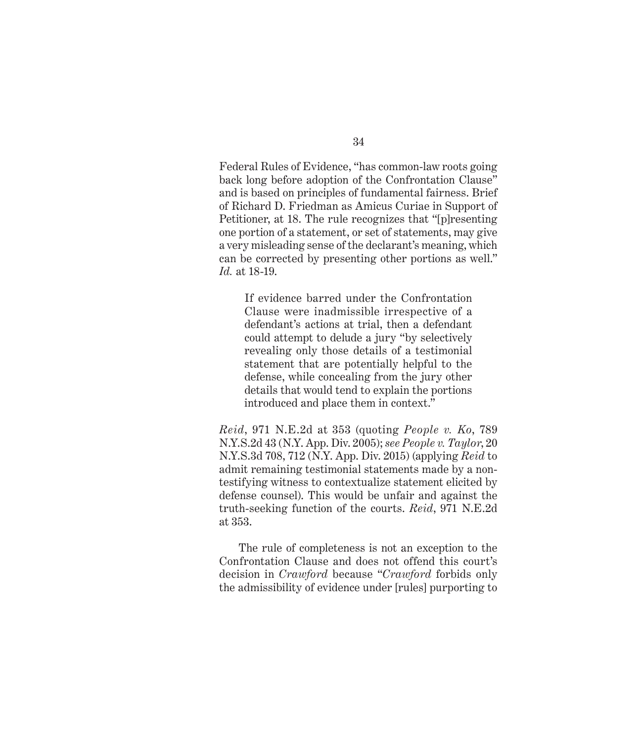Federal Rules of Evidence, "has common-law roots going back long before adoption of the Confrontation Clause" and is based on principles of fundamental fairness. Brief of Richard D. Friedman as Amicus Curiae in Support of Petitioner, at 18. The rule recognizes that "[p]resenting one portion of a statement, or set of statements, may give a very misleading sense of the declarant's meaning, which can be corrected by presenting other portions as well." *Id.* at 18-19.

If evidence barred under the Confrontation Clause were inadmissible irrespective of a defendant's actions at trial, then a defendant could attempt to delude a jury "by selectively revealing only those details of a testimonial statement that are potentially helpful to the defense, while concealing from the jury other details that would tend to explain the portions introduced and place them in context."

*Reid*, 971 N.E.2d at 353 (quoting *People v. Ko*, 789 N.Y.S.2d 43 (N.Y. App. Div. 2005); *see People v. Taylor*, 20 N.Y.S.3d 708, 712 (N.Y. App. Div. 2015) (applying *Reid* to admit remaining testimonial statements made by a nontestifying witness to contextualize statement elicited by defense counsel). This would be unfair and against the truth-seeking function of the courts. *Reid*, 971 N.E.2d at 353.

The rule of completeness is not an exception to the Confrontation Clause and does not offend this court's decision in *Crawford* because "*Crawford* forbids only the admissibility of evidence under [rules] purporting to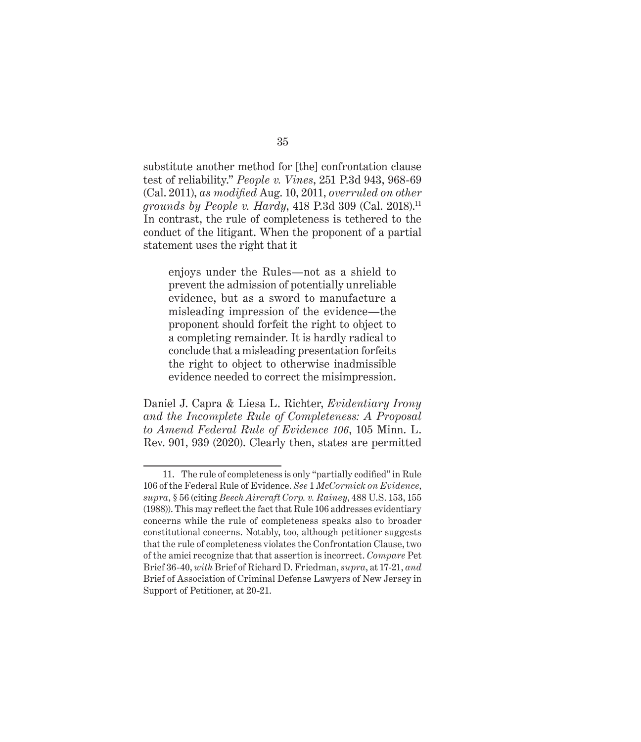substitute another method for [the] confrontation clause test of reliability." *People v. Vines*, 251 P.3d 943, 968-69 (Cal. 2011), *as modified* Aug. 10, 2011, *overruled on other grounds by People v. Hardy*, 418 P.3d 309 (Cal. 2018).<sup>11</sup> In contrast, the rule of completeness is tethered to the conduct of the litigant. When the proponent of a partial statement uses the right that it

enjoys under the Rules—not as a shield to prevent the admission of potentially unreliable evidence, but as a sword to manufacture a misleading impression of the evidence—the proponent should forfeit the right to object to a completing remainder. It is hardly radical to conclude that a misleading presentation forfeits the right to object to otherwise inadmissible evidence needed to correct the misimpression.

Daniel J. Capra & Liesa L. Richter, *Evidentiary Irony and the Incomplete Rule of Completeness: A Proposal to Amend Federal Rule of Evidence 106*, 105 Minn. L. Rev. 901, 939 (2020). Clearly then, states are permitted

<sup>11.</sup> The rule of completeness is only "partially codified" in Rule 106 of the Federal Rule of Evidence. *See* 1 *McCormick on Evidence*, *supra*, § 56 (citing *Beech Aircraft Corp. v. Rainey*, 488 U.S. 153, 155 (1988)). This may reflect the fact that Rule 106 addresses evidentiary concerns while the rule of completeness speaks also to broader constitutional concerns. Notably, too, although petitioner suggests that the rule of completeness violates the Confrontation Clause, two of the amici recognize that that assertion is incorrect. *Compare* Pet Brief 36-40, *with* Brief of Richard D. Friedman, *supra*, at 17-21, *and* Brief of Association of Criminal Defense Lawyers of New Jersey in Support of Petitioner, at 20-21.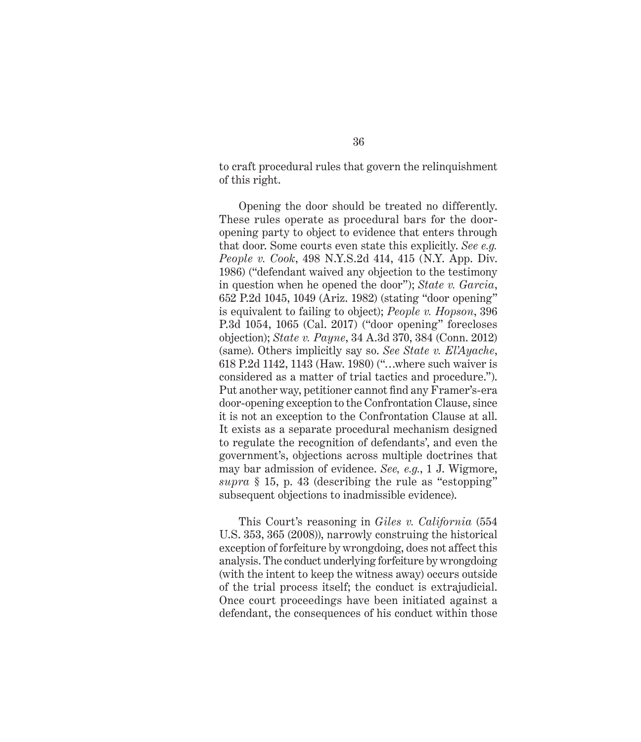to craft procedural rules that govern the relinquishment of this right.

Opening the door should be treated no differently. These rules operate as procedural bars for the dooropening party to object to evidence that enters through that door. Some courts even state this explicitly. *See e.g. People v. Cook*, 498 N.Y.S.2d 414, 415 (N.Y. App. Div. 1986) ("defendant waived any objection to the testimony in question when he opened the door"); *State v. Garcia*, 652 P.2d 1045, 1049 (Ariz. 1982) (stating "door opening" is equivalent to failing to object); *People v. Hopson*, 396 P.3d 1054, 1065 (Cal. 2017) ("door opening" forecloses objection); *State v. Payne*, 34 A.3d 370, 384 (Conn. 2012) (same). Others implicitly say so. *See State v. El'Ayache*, 618 P.2d 1142, 1143 (Haw. 1980) ("…where such waiver is considered as a matter of trial tactics and procedure."). Put another way, petitioner cannot find any Framer's-era door-opening exception to the Confrontation Clause, since it is not an exception to the Confrontation Clause at all. It exists as a separate procedural mechanism designed to regulate the recognition of defendants', and even the government's, objections across multiple doctrines that may bar admission of evidence. *See, e.g.*, 1 J. Wigmore, *supra* § 15, p. 43 (describing the rule as "estopping" subsequent objections to inadmissible evidence).

This Court's reasoning in *Giles v. California* (554 U.S. 353, 365 (2008)), narrowly construing the historical exception of forfeiture by wrongdoing, does not affect this analysis. The conduct underlying forfeiture by wrongdoing (with the intent to keep the witness away) occurs outside of the trial process itself; the conduct is extrajudicial. Once court proceedings have been initiated against a defendant, the consequences of his conduct within those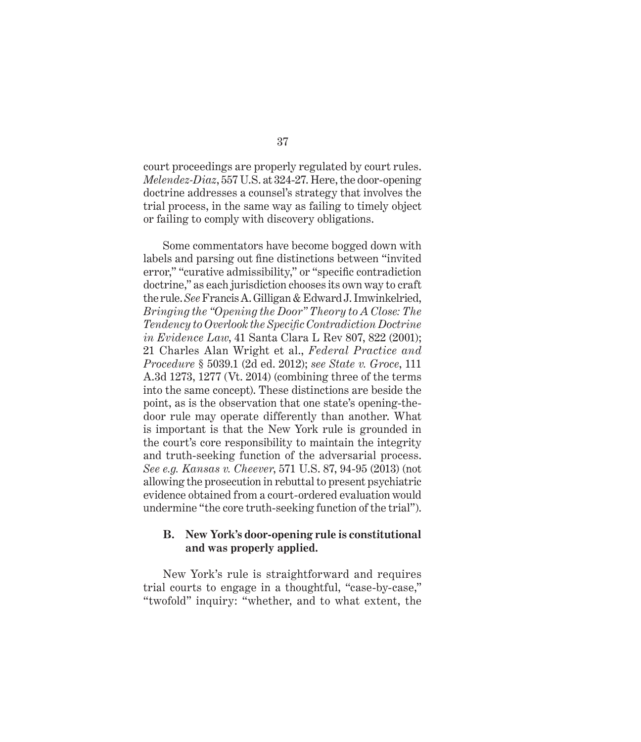court proceedings are properly regulated by court rules. *Melendez-Diaz*, 557 U.S. at 324-27. Here, the door-opening doctrine addresses a counsel's strategy that involves the trial process, in the same way as failing to timely object or failing to comply with discovery obligations.

Some commentators have become bogged down with labels and parsing out fine distinctions between "invited error," "curative admissibility," or "specific contradiction doctrine," as each jurisdiction chooses its own way to craft the rule. *See* Francis A. Gilligan & Edward J. Imwinkelried, *Bringing the "Opening the Door" Theory to A Close: The Tendency to Overlook the Specific Contradiction Doctrine in Evidence Law*, 41 Santa Clara L Rev 807, 822 (2001); 21 Charles Alan Wright et al., *Federal Practice and Procedure* § 5039.1 (2d ed. 2012); *see State v. Groce*, 111 A.3d 1273, 1277 (Vt. 2014) (combining three of the terms into the same concept). These distinctions are beside the point, as is the observation that one state's opening-thedoor rule may operate differently than another. What is important is that the New York rule is grounded in the court's core responsibility to maintain the integrity and truth-seeking function of the adversarial process. *See e.g. Kansas v. Cheever*, 571 U.S. 87, 94-95 (2013) (not allowing the prosecution in rebuttal to present psychiatric evidence obtained from a court-ordered evaluation would undermine "the core truth-seeking function of the trial").

#### **B. New York's door-opening rule is constitutional and was properly applied.**

New York's rule is straightforward and requires trial courts to engage in a thoughtful, "case-by-case," "twofold" inquiry: "whether, and to what extent, the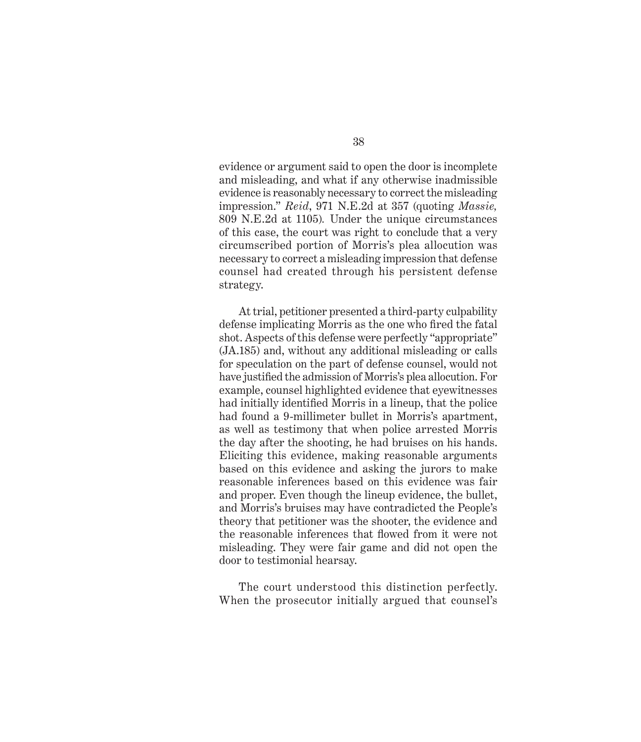evidence or argument said to open the door is incomplete and misleading, and what if any otherwise inadmissible evidence is reasonably necessary to correct the misleading impression." *Reid*, 971 N.E.2d at 357 (quoting *Massie,*  809 N.E.2d at 1105)*.* Under the unique circumstances of this case, the court was right to conclude that a very circumscribed portion of Morris's plea allocution was necessary to correct a misleading impression that defense counsel had created through his persistent defense strategy.

At trial, petitioner presented a third-party culpability defense implicating Morris as the one who fired the fatal shot. Aspects of this defense were perfectly "appropriate" (JA.185) and, without any additional misleading or calls for speculation on the part of defense counsel, would not have justified the admission of Morris's plea allocution. For example, counsel highlighted evidence that eyewitnesses had initially identified Morris in a lineup, that the police had found a 9-millimeter bullet in Morris's apartment, as well as testimony that when police arrested Morris the day after the shooting, he had bruises on his hands. Eliciting this evidence, making reasonable arguments based on this evidence and asking the jurors to make reasonable inferences based on this evidence was fair and proper. Even though the lineup evidence, the bullet, and Morris's bruises may have contradicted the People's theory that petitioner was the shooter, the evidence and the reasonable inferences that flowed from it were not misleading. They were fair game and did not open the door to testimonial hearsay.

The court understood this distinction perfectly. When the prosecutor initially argued that counsel's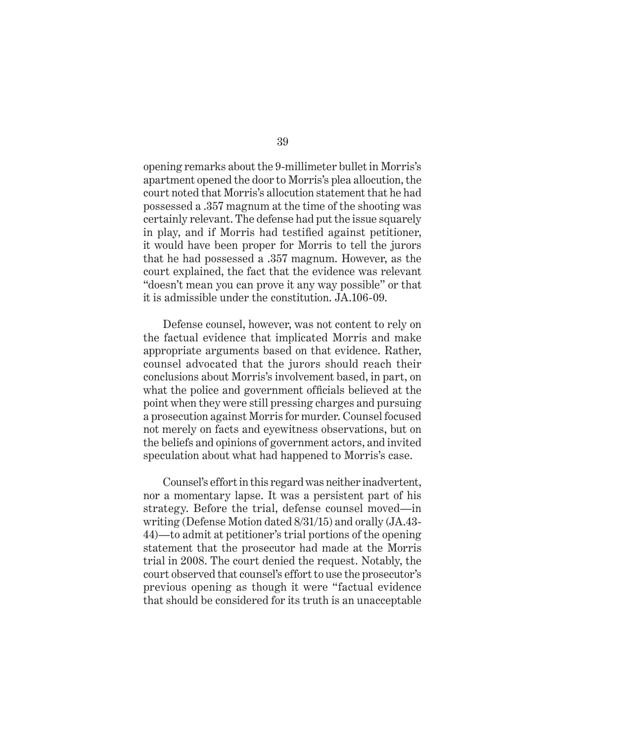opening remarks about the 9-millimeter bullet in Morris's apartment opened the door to Morris's plea allocution, the court noted that Morris's allocution statement that he had possessed a .357 magnum at the time of the shooting was certainly relevant. The defense had put the issue squarely in play, and if Morris had testified against petitioner, it would have been proper for Morris to tell the jurors that he had possessed a .357 magnum. However, as the court explained, the fact that the evidence was relevant "doesn't mean you can prove it any way possible" or that it is admissible under the constitution. JA.106-09.

Defense counsel, however, was not content to rely on the factual evidence that implicated Morris and make appropriate arguments based on that evidence. Rather, counsel advocated that the jurors should reach their conclusions about Morris's involvement based, in part, on what the police and government officials believed at the point when they were still pressing charges and pursuing a prosecution against Morris for murder. Counsel focused not merely on facts and eyewitness observations, but on the beliefs and opinions of government actors, and invited speculation about what had happened to Morris's case.

Counsel's effort in this regard was neither inadvertent, nor a momentary lapse. It was a persistent part of his strategy. Before the trial, defense counsel moved—in writing (Defense Motion dated 8/31/15) and orally (JA.43- 44)—to admit at petitioner's trial portions of the opening statement that the prosecutor had made at the Morris trial in 2008. The court denied the request. Notably, the court observed that counsel's effort to use the prosecutor's previous opening as though it were "factual evidence that should be considered for its truth is an unacceptable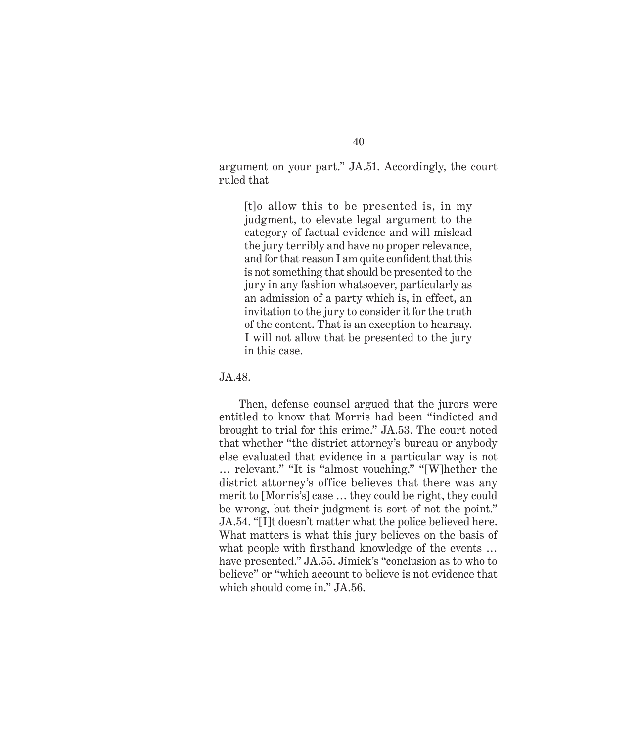argument on your part." JA.51. Accordingly, the court ruled that

[t]o allow this to be presented is, in my judgment, to elevate legal argument to the category of factual evidence and will mislead the jury terribly and have no proper relevance, and for that reason I am quite confident that this is not something that should be presented to the jury in any fashion whatsoever, particularly as an admission of a party which is, in effect, an invitation to the jury to consider it for the truth of the content. That is an exception to hearsay. I will not allow that be presented to the jury in this case.

JA.48.

Then, defense counsel argued that the jurors were entitled to know that Morris had been "indicted and brought to trial for this crime." JA.53. The court noted that whether "the district attorney's bureau or anybody else evaluated that evidence in a particular way is not … relevant." "It is "almost vouching." "[W]hether the district attorney's office believes that there was any merit to [Morris's] case … they could be right, they could be wrong, but their judgment is sort of not the point." JA.54. "[I]t doesn't matter what the police believed here. What matters is what this jury believes on the basis of what people with firsthand knowledge of the events … have presented." JA.55. Jimick's "conclusion as to who to believe" or "which account to believe is not evidence that which should come in." JA.56.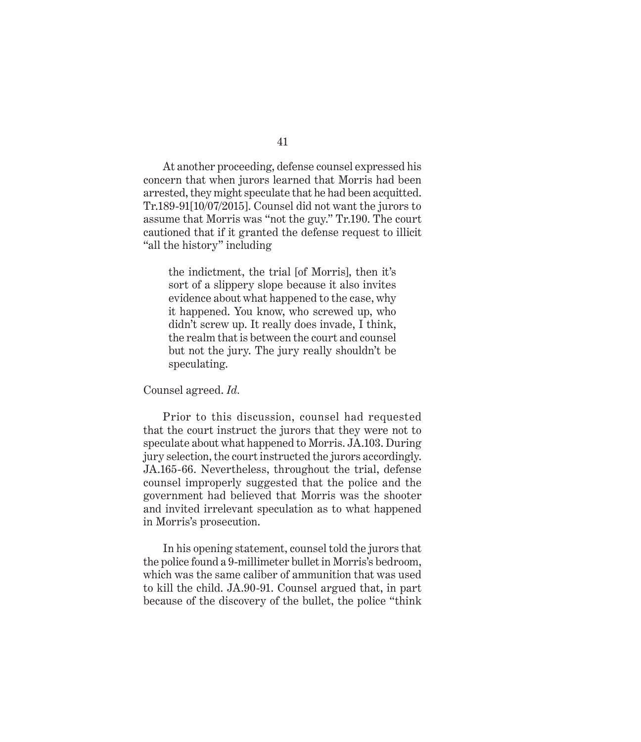41

At another proceeding, defense counsel expressed his concern that when jurors learned that Morris had been arrested, they might speculate that he had been acquitted. Tr.189-91[10/07/2015]. Counsel did not want the jurors to assume that Morris was "not the guy." Tr.190. The court cautioned that if it granted the defense request to illicit "all the history" including

the indictment, the trial [of Morris], then it's sort of a slippery slope because it also invites evidence about what happened to the case, why it happened. You know, who screwed up, who didn't screw up. It really does invade, I think, the realm that is between the court and counsel but not the jury. The jury really shouldn't be speculating.

#### Counsel agreed. *Id.*

Prior to this discussion, counsel had requested that the court instruct the jurors that they were not to speculate about what happened to Morris. JA.103. During jury selection, the court instructed the jurors accordingly. JA.165-66. Nevertheless, throughout the trial, defense counsel improperly suggested that the police and the government had believed that Morris was the shooter and invited irrelevant speculation as to what happened in Morris's prosecution.

In his opening statement, counsel told the jurors that the police found a 9-millimeter bullet in Morris's bedroom, which was the same caliber of ammunition that was used to kill the child. JA.90-91. Counsel argued that, in part because of the discovery of the bullet, the police "think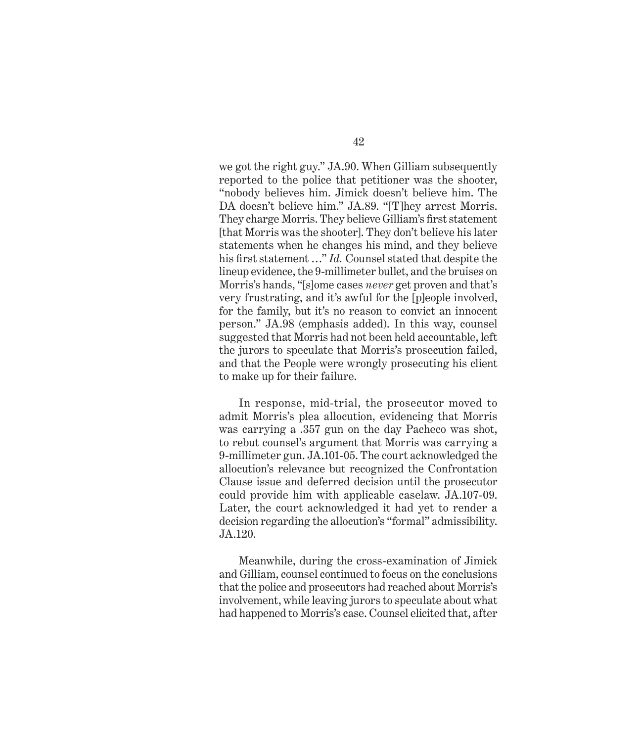we got the right guy." JA.90. When Gilliam subsequently reported to the police that petitioner was the shooter, "nobody believes him. Jimick doesn't believe him. The DA doesn't believe him." JA.89. "[T]hey arrest Morris. They charge Morris. They believe Gilliam's first statement [that Morris was the shooter]. They don't believe his later statements when he changes his mind, and they believe his first statement …" *Id.* Counsel stated that despite the lineup evidence, the 9-millimeter bullet, and the bruises on Morris's hands, "[s]ome cases *never* get proven and that's very frustrating, and it's awful for the [p]eople involved, for the family, but it's no reason to convict an innocent person." JA.98 (emphasis added). In this way, counsel suggested that Morris had not been held accountable, left the jurors to speculate that Morris's prosecution failed, and that the People were wrongly prosecuting his client to make up for their failure.

In response, mid-trial, the prosecutor moved to admit Morris's plea allocution, evidencing that Morris was carrying a .357 gun on the day Pacheco was shot, to rebut counsel's argument that Morris was carrying a 9-millimeter gun. JA.101-05. The court acknowledged the allocution's relevance but recognized the Confrontation Clause issue and deferred decision until the prosecutor could provide him with applicable caselaw. JA.107-09. Later, the court acknowledged it had yet to render a decision regarding the allocution's "formal" admissibility. JA.120.

Meanwhile, during the cross-examination of Jimick and Gilliam, counsel continued to focus on the conclusions that the police and prosecutors had reached about Morris's involvement, while leaving jurors to speculate about what had happened to Morris's case. Counsel elicited that, after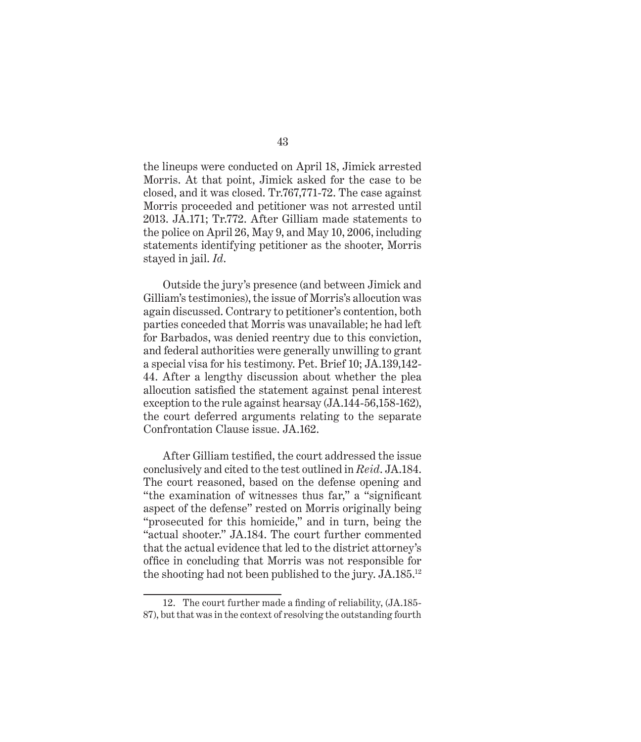the lineups were conducted on April 18, Jimick arrested Morris. At that point, Jimick asked for the case to be closed, and it was closed. Tr.767,771-72. The case against Morris proceeded and petitioner was not arrested until 2013. JA.171; Tr.772. After Gilliam made statements to the police on April 26, May 9, and May 10, 2006, including statements identifying petitioner as the shooter, Morris stayed in jail. *Id*.

Outside the jury's presence (and between Jimick and Gilliam's testimonies), the issue of Morris's allocution was again discussed. Contrary to petitioner's contention, both parties conceded that Morris was unavailable; he had left for Barbados, was denied reentry due to this conviction, and federal authorities were generally unwilling to grant a special visa for his testimony. Pet. Brief 10; JA.139,142- 44. After a lengthy discussion about whether the plea allocution satisfied the statement against penal interest exception to the rule against hearsay (JA.144-56,158-162), the court deferred arguments relating to the separate Confrontation Clause issue. JA.162.

After Gilliam testified, the court addressed the issue conclusively and cited to the test outlined in *Reid*. JA.184. The court reasoned, based on the defense opening and "the examination of witnesses thus far," a "significant aspect of the defense" rested on Morris originally being "prosecuted for this homicide," and in turn, being the "actual shooter." JA.184. The court further commented that the actual evidence that led to the district attorney's office in concluding that Morris was not responsible for the shooting had not been published to the jury. JA.185.<sup>12</sup>

<sup>12.</sup> The court further made a finding of reliability, (JA.185- 87), but that was in the context of resolving the outstanding fourth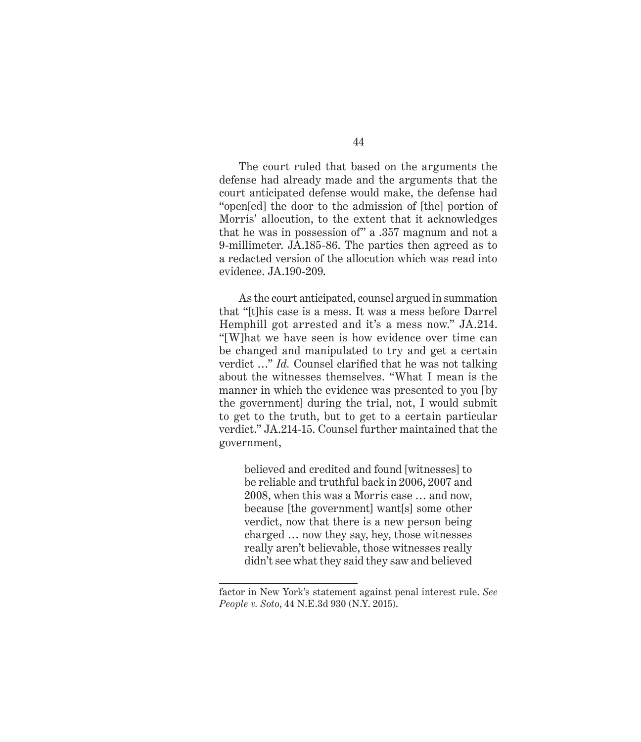The court ruled that based on the arguments the defense had already made and the arguments that the court anticipated defense would make, the defense had "open[ed] the door to the admission of [the] portion of Morris' allocution, to the extent that it acknowledges that he was in possession of" a .357 magnum and not a 9-millimeter. JA.185-86. The parties then agreed as to a redacted version of the allocution which was read into evidence. JA.190-209.

As the court anticipated, counsel argued in summation that "[t]his case is a mess. It was a mess before Darrel Hemphill got arrested and it's a mess now." JA.214. "[W]hat we have seen is how evidence over time can be changed and manipulated to try and get a certain verdict …" *Id.* Counsel clarified that he was not talking about the witnesses themselves. "What I mean is the manner in which the evidence was presented to you [by the government] during the trial, not, I would submit to get to the truth, but to get to a certain particular verdict." JA.214-15. Counsel further maintained that the government,

believed and credited and found [witnesses] to be reliable and truthful back in 2006, 2007 and 2008, when this was a Morris case … and now, because [the government] want[s] some other verdict, now that there is a new person being charged … now they say, hey, those witnesses really aren't believable, those witnesses really didn't see what they said they saw and believed

factor in New York's statement against penal interest rule. *See People v. Soto*, 44 N.E.3d 930 (N.Y. 2015).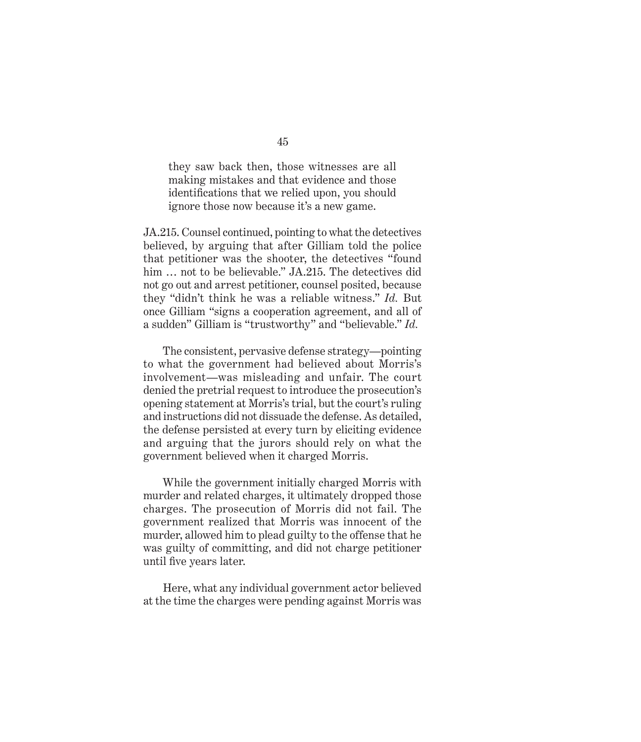they saw back then, those witnesses are all making mistakes and that evidence and those identifications that we relied upon, you should ignore those now because it's a new game.

JA.215. Counsel continued, pointing to what the detectives believed, by arguing that after Gilliam told the police that petitioner was the shooter, the detectives "found him ... not to be believable." JA.215. The detectives did not go out and arrest petitioner, counsel posited, because they "didn't think he was a reliable witness." *Id.* But once Gilliam "signs a cooperation agreement, and all of a sudden" Gilliam is "trustworthy" and "believable." *Id.*

The consistent, pervasive defense strategy—pointing to what the government had believed about Morris's involvement—was misleading and unfair. The court denied the pretrial request to introduce the prosecution's opening statement at Morris's trial, but the court's ruling and instructions did not dissuade the defense. As detailed, the defense persisted at every turn by eliciting evidence and arguing that the jurors should rely on what the government believed when it charged Morris.

While the government initially charged Morris with murder and related charges, it ultimately dropped those charges. The prosecution of Morris did not fail. The government realized that Morris was innocent of the murder, allowed him to plead guilty to the offense that he was guilty of committing, and did not charge petitioner until five years later.

Here, what any individual government actor believed at the time the charges were pending against Morris was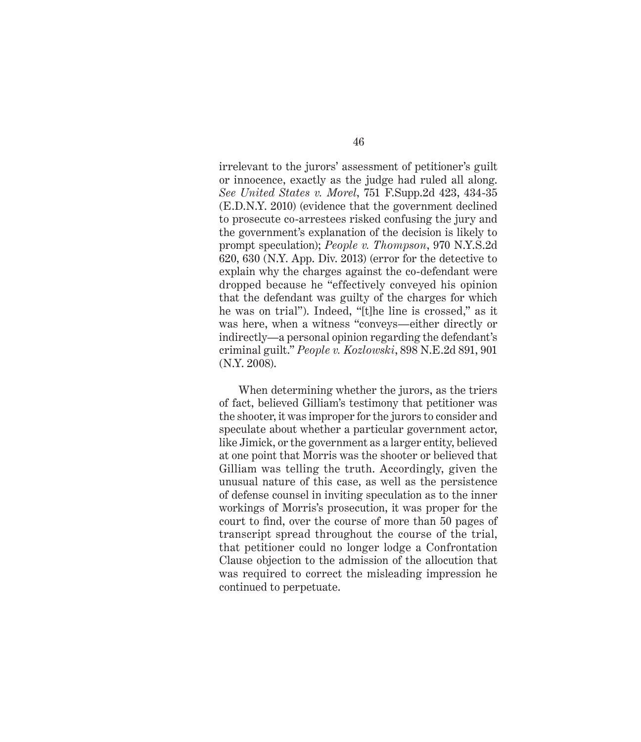irrelevant to the jurors' assessment of petitioner's guilt or innocence, exactly as the judge had ruled all along. *See United States v. Morel*, 751 F.Supp.2d 423, 434-35 (E.D.N.Y. 2010) (evidence that the government declined to prosecute co-arrestees risked confusing the jury and the government's explanation of the decision is likely to prompt speculation); *People v. Thompson*, 970 N.Y.S.2d 620, 630 (N.Y. App. Div. 2013) (error for the detective to explain why the charges against the co-defendant were dropped because he "effectively conveyed his opinion that the defendant was guilty of the charges for which he was on trial"). Indeed, "[t]he line is crossed," as it was here, when a witness "conveys—either directly or indirectly—a personal opinion regarding the defendant's criminal guilt." *People v. Kozlowski*, 898 N.E.2d 891, 901 (N.Y. 2008).

When determining whether the jurors, as the triers of fact, believed Gilliam's testimony that petitioner was the shooter, it was improper for the jurors to consider and speculate about whether a particular government actor, like Jimick, or the government as a larger entity, believed at one point that Morris was the shooter or believed that Gilliam was telling the truth. Accordingly, given the unusual nature of this case, as well as the persistence of defense counsel in inviting speculation as to the inner workings of Morris's prosecution, it was proper for the court to find, over the course of more than 50 pages of transcript spread throughout the course of the trial, that petitioner could no longer lodge a Confrontation Clause objection to the admission of the allocution that was required to correct the misleading impression he continued to perpetuate.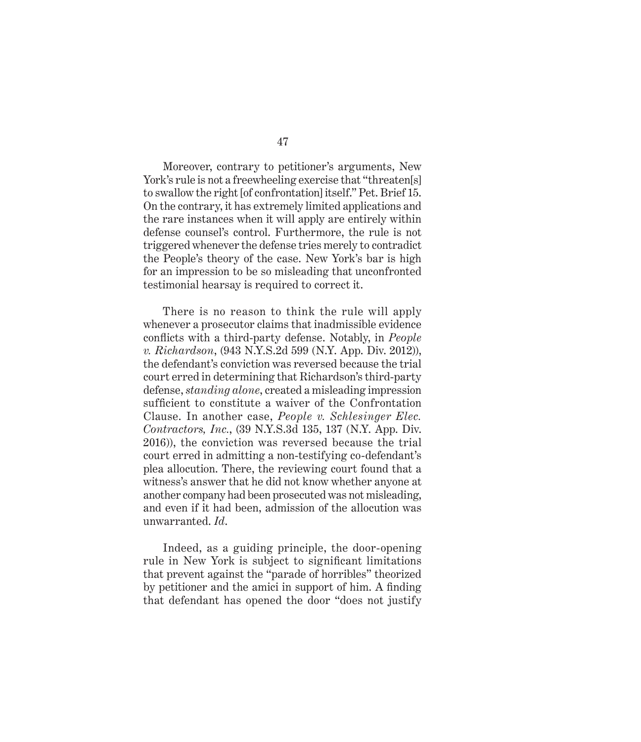Moreover, contrary to petitioner's arguments, New York's rule is not a freewheeling exercise that "threaten[s] to swallow the right [of confrontation] itself." Pet. Brief 15. On the contrary, it has extremely limited applications and the rare instances when it will apply are entirely within defense counsel's control. Furthermore, the rule is not triggered whenever the defense tries merely to contradict the People's theory of the case. New York's bar is high for an impression to be so misleading that unconfronted testimonial hearsay is required to correct it.

There is no reason to think the rule will apply whenever a prosecutor claims that inadmissible evidence conflicts with a third-party defense. Notably, in *People v. Richardson*, (943 N.Y.S.2d 599 (N.Y. App. Div. 2012)), the defendant's conviction was reversed because the trial court erred in determining that Richardson's third-party defense, *standing alone*, created a misleading impression sufficient to constitute a waiver of the Confrontation Clause. In another case, *People v. Schlesinger Elec. Contractors, Inc.*, (39 N.Y.S.3d 135, 137 (N.Y. App. Div. 2016)), the conviction was reversed because the trial court erred in admitting a non-testifying co-defendant's plea allocution. There, the reviewing court found that a witness's answer that he did not know whether anyone at another company had been prosecuted was not misleading, and even if it had been, admission of the allocution was unwarranted. *Id*.

Indeed, as a guiding principle, the door-opening rule in New York is subject to significant limitations that prevent against the "parade of horribles" theorized by petitioner and the amici in support of him. A finding that defendant has opened the door "does not justify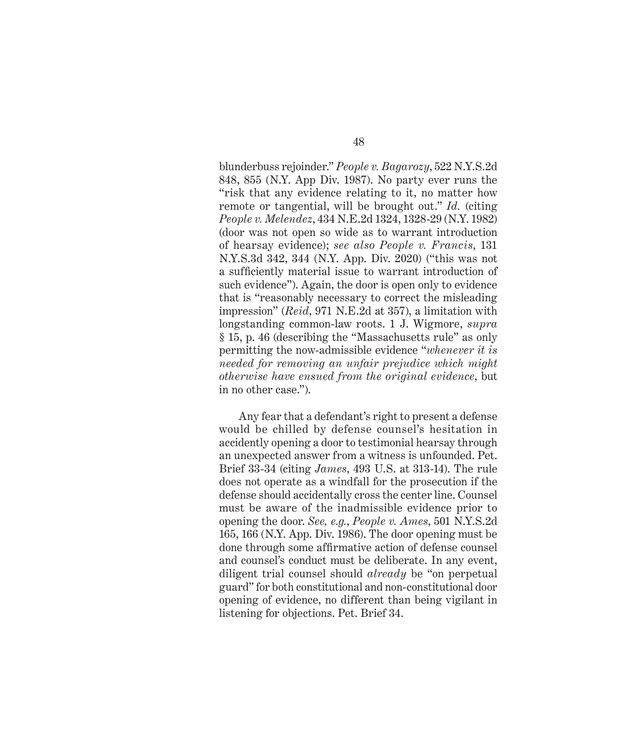blunderbuss rejoinder." *People v. Bagarozy*, 522 N.Y.S.2d 848, 855 (N.Y. App Div. 1987). No party ever runs the "risk that any evidence relating to it, no matter how remote or tangential, will be brought out." *Id.* (citing *People v. Melendez*, 434 N.E.2d 1324, 1328-29 (N.Y. 1982) (door was not open so wide as to warrant introduction of hearsay evidence); *see also People v. Francis*, 131 N.Y.S.3d 342, 344 (N.Y. App. Div. 2020) ("this was not a sufficiently material issue to warrant introduction of such evidence"). Again, the door is open only to evidence that is "reasonably necessary to correct the misleading impression" (*Reid*, 971 N.E.2d at 357), a limitation with longstanding common-law roots. 1 J. Wigmore, *supra* § 15, p. 46 (describing the "Massachusetts rule" as only permitting the now-admissible evidence "*whenever it is needed for removing an unfair prejudice which might otherwise have ensued from the original evidence*, but in no other case.").

Any fear that a defendant's right to present a defense would be chilled by defense counsel's hesitation in accidently opening a door to testimonial hearsay through an unexpected answer from a witness is unfounded. Pet. Brief 33-34 (citing *James*, 493 U.S. at 313-14). The rule does not operate as a windfall for the prosecution if the defense should accidentally cross the center line. Counsel must be aware of the inadmissible evidence prior to opening the door. *See, e.g.*, *People v. Ames*, 501 N.Y.S.2d 165, 166 (N.Y. App. Div. 1986). The door opening must be done through some affirmative action of defense counsel and counsel's conduct must be deliberate. In any event, diligent trial counsel should *already* be "on perpetual guard" for both constitutional and non-constitutional door opening of evidence, no different than being vigilant in listening for objections. Pet. Brief 34.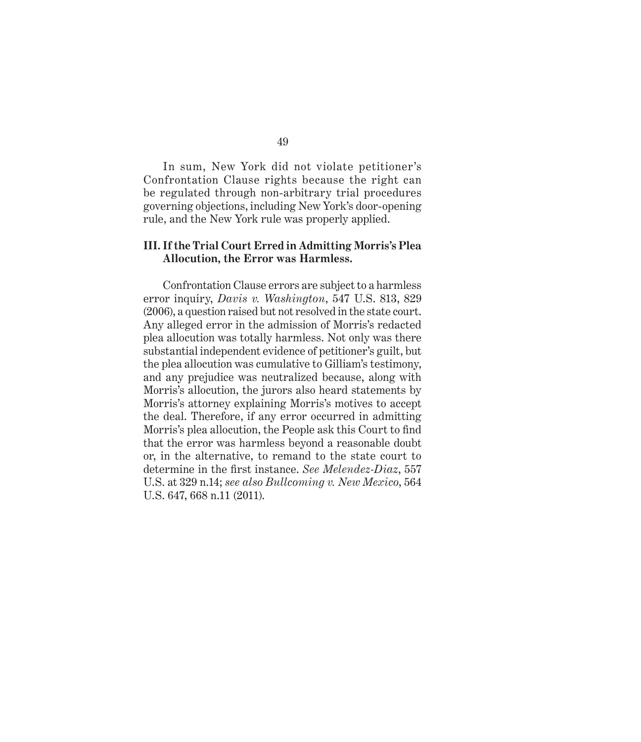In sum, New York did not violate petitioner's Confrontation Clause rights because the right can be regulated through non-arbitrary trial procedures governing objections, including New York's door-opening rule, and the New York rule was properly applied.

#### **III. If the Trial Court Erred in Admitting Morris's Plea Allocution, the Error was Harmless.**

Confrontation Clause errors are subject to a harmless error inquiry, *Davis v. Washington*, 547 U.S. 813, 829 (2006), a question raised but not resolved in the state court. Any alleged error in the admission of Morris's redacted plea allocution was totally harmless. Not only was there substantial independent evidence of petitioner's guilt, but the plea allocution was cumulative to Gilliam's testimony, and any prejudice was neutralized because, along with Morris's allocution, the jurors also heard statements by Morris's attorney explaining Morris's motives to accept the deal. Therefore, if any error occurred in admitting Morris's plea allocution, the People ask this Court to find that the error was harmless beyond a reasonable doubt or, in the alternative, to remand to the state court to determine in the first instance. *See Melendez-Diaz*, 557 U.S. at 329 n.14; *see also Bullcoming v. New Mexico*, 564 U.S. 647, 668 n.11 (2011).